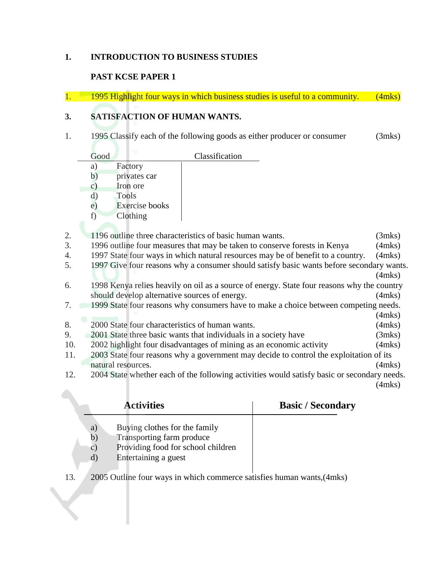### **1. INTRODUCTION TO BUSINESS STUDIES**

### **PAST KCSE PAPER 1**

A.

1. 1995 Highlight four ways in which business studies is useful to a community. (4mks)

### **3. SATISFACTION OF HUMAN WANTS.**

1. 1995 Classify each of the following goods as either producer or consumer (3mks)

|                | Good | Classification                                                                  |        |
|----------------|------|---------------------------------------------------------------------------------|--------|
|                | a)   | Factory                                                                         |        |
|                | b)   | privates car                                                                    |        |
|                | C)   | Iron ore                                                                        |        |
|                | d)   | <b>Tools</b>                                                                    |        |
|                | e)   | Exercise books                                                                  |        |
|                | f)   | Clothing                                                                        |        |
|                |      |                                                                                 |        |
| 2.             |      | 1196 outline three characteristics of basic human wants.                        | (3mks) |
| 3.             |      | 1996 outline four measures that may be taken to conserve forests in Kenya       | (4mks) |
| 4.             |      | 1997 State four ways in which natural resources may be of benefit to a country. | (4mks) |
| $\overline{a}$ |      | $1007$ C $\approx$ $\epsilon$                                                   |        |

- 5. 1997 Give four reasons why a consumer should satisfy basic wants before secondary wants. (4mks)
- 6. 1998 Kenya relies heavily on oil as a source of energy. State four reasons why the country should develop alternative sources of energy. (4mks)
- 7. 1999 State four reasons why consumers have to make a choice between competing needs.
- (4mks) 8. 2000 State four characteristics of human wants. (4mks)
- 9. 2001 State three basic wants that individuals in a society have (3mks)
- 10. 2002 highlight four disadvantages of mining as an economic activity (4mks)
- 11. 2003 State four reasons why a government may decide to control the exploitation of its natural resources. (4mks)
- 12. 2004 State whether each of the following activities would satisfy basic or secondary needs.

(4mks)

|                                   | <b>Activities</b>                                                                                                        | <b>Basic / Secondary</b> |
|-----------------------------------|--------------------------------------------------------------------------------------------------------------------------|--------------------------|
| a)<br>b)<br>$\mathcal{C}$ )<br>d) | Buying clothes for the family<br>Transporting farm produce<br>Providing food for school children<br>Entertaining a guest |                          |

13. 2005 Outline four ways in which commerce satisfies human wants,(4mks)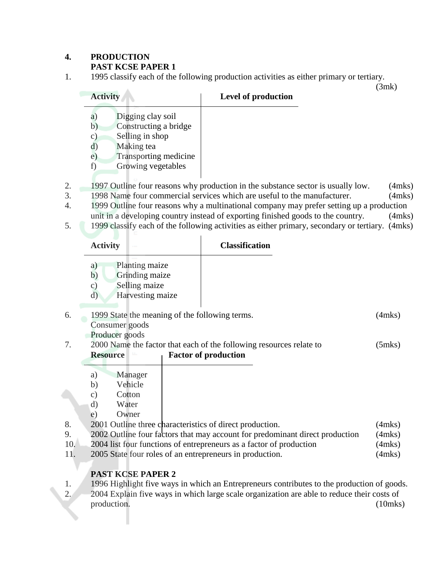### **4. PRODUCTION PAST KCSE PAPER 1**

1. 1995 classify each of the following production activities as either primary or tertiary.

(3mk)

| <b>Activity</b>                      |                                                                                                                            | Level of production |
|--------------------------------------|----------------------------------------------------------------------------------------------------------------------------|---------------------|
| a)<br>b)<br>C)<br>d)<br>$\epsilon$ ) | Digging clay soil<br>Constructing a bridge<br>Selling in shop<br>Making tea<br>Transporting medicine<br>Growing vegetables |                     |
|                                      |                                                                                                                            |                     |

- 2. 1997 Outline four reasons why production in the substance sector is usually low. (4mks)
- 3. 1998 Name four commercial services which are useful to the manufacturer. (4mks)
- 4. 1999 Outline four reasons why a multinational company may prefer setting up a production unit in a developing country instead of exporting finished goods to the country. (4mks)
- 5. 1999 classify each of the following activities as either primary, secondary or tertiary. (4mks)

|                        | <b>Activity</b>                                                                                                                                                                                                           | <b>Classification</b>                                                                                                                               |                                                        |
|------------------------|---------------------------------------------------------------------------------------------------------------------------------------------------------------------------------------------------------------------------|-----------------------------------------------------------------------------------------------------------------------------------------------------|--------------------------------------------------------|
|                        | Planting maize<br>a)<br>b)<br>Grinding maize<br>Selling maize<br>$\mathbf{c})$<br>Harvesting maize<br>$\rm d)$                                                                                                            |                                                                                                                                                     |                                                        |
| 6.                     | 1999 State the meaning of the following terms.                                                                                                                                                                            |                                                                                                                                                     | $(4$ mks $)$                                           |
| 7.                     | Consumer goods<br>Producer goods<br><b>Resource</b>                                                                                                                                                                       | 2000 Name the factor that each of the following resources relate to<br><b>Factor of production</b>                                                  | $(5$ mks $)$                                           |
| 8.<br>9.<br>10.<br>11. | Manager<br>a)<br>Vehicle<br>b)<br>Cotton<br>$\mathbf{c})$<br>d)<br>Water<br>Owner<br>$\epsilon$ )<br>2001 Outline three characteristics of direct production.<br>2005 State four roles of an entrepreneurs in production. | 2002 Outline four factors that may account for predominant direct production<br>2004 list four functions of entrepreneurs as a factor of production | $(4$ mks $)$<br>(4mks)<br>$(4$ mks $)$<br>$(4$ mks $)$ |
|                        | DA ST KASE DA DED 2                                                                                                                                                                                                       |                                                                                                                                                     |                                                        |

# **PAST KCSE PAPER 2**

1. 1996 Highlight five ways in which an Entrepreneurs contributes to the production of goods. 2. 2004 Explain five ways in which large scale organization are able to reduce their costs of production. (10mks)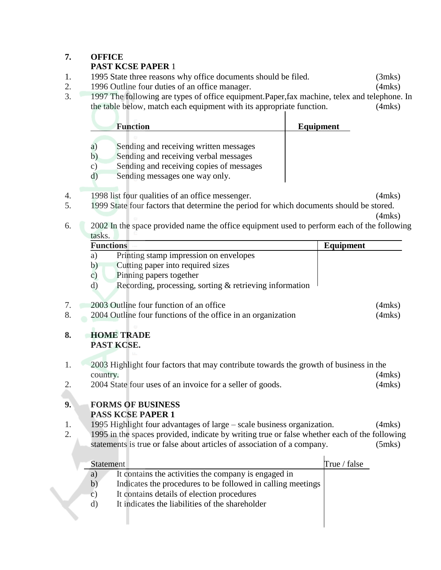# **7. OFFICE**

# **PAST KCSE PAPER** 1

- 1. 1995 State three reasons why office documents should be filed. (3mks)
- 2. 1996 Outline four duties of an office manager. (4mks)
- 3. 1997 The following are types of office equipment.Paper,fax machine, telex and telephone. In the table below, match each equipment with its appropriate function. (4mks)

|        | <b>Function</b>                           | Equipment |
|--------|-------------------------------------------|-----------|
|        |                                           |           |
| a      | Sending and receiving written messages    |           |
|        | Sending and receiving verbal messages     |           |
| $\sim$ | Caroline and mostring control of mossages |           |

- c) Sending and receiving copies of messages
- d) Sending messages one way only.
- 4. 1998 list four qualities of an office messenger. (4mks)
- 5. 1999 State four factors that determine the period for which documents should be stored.
- (4mks) 6. 2002 In the space provided name the office equipment used to perform each of the following tasks.

|                  | <b>Functions</b> |                                                                                              | Equipment    |                              |
|------------------|------------------|----------------------------------------------------------------------------------------------|--------------|------------------------------|
|                  | a)               | Printing stamp impression on envelopes                                                       |              |                              |
|                  | b)               | Cutting paper into required sizes                                                            |              |                              |
|                  | $\mathbf{c})$    | Pinning papers together                                                                      |              |                              |
|                  | d)               | Recording, processing, sorting & retrieving information                                      |              |                              |
| 7.               |                  | 2003 Outline four function of an office                                                      |              |                              |
| 8.               |                  | 2004 Outline four functions of the office in an organization                                 |              | $(4$ mks $)$<br>$(4$ mks $)$ |
|                  |                  |                                                                                              |              |                              |
| 8.               |                  | <b>HOME TRADE</b>                                                                            |              |                              |
|                  |                  | PAST KCSE.                                                                                   |              |                              |
| 1.               |                  | 2003 Highlight four factors that may contribute towards the growth of business in the        |              |                              |
|                  | country.         |                                                                                              |              | $(4$ mks $)$                 |
| 2.               |                  | 2004 State four uses of an invoice for a seller of goods.                                    |              | $(4$ mks $)$                 |
|                  |                  |                                                                                              |              |                              |
| 9.               |                  | <b>FORMS OF BUSINESS</b><br><b>PASS KCSE PAPER 1</b>                                         |              |                              |
| 1.               |                  | 1995 Highlight four advantages of large – scale business organization.                       |              |                              |
| $\overline{2}$ . |                  | 1995 in the spaces provided, indicate by writing true or false whether each of the following |              | $(4$ mks $)$                 |
|                  |                  | statements is true or false about articles of association of a company.                      |              | $(5$ mks $)$                 |
|                  |                  |                                                                                              |              |                              |
|                  | <b>Statement</b> |                                                                                              | True / false |                              |
|                  | a)               | It contains the activities the company is engaged in                                         |              |                              |
|                  | b)               | Indicates the procedures to be followed in calling meetings                                  |              |                              |
|                  | $\mathbf{c})$    | It contains details of election procedures                                                   |              |                              |
|                  | $\rm d)$         | It indicates the liabilities of the shareholder                                              |              |                              |
|                  |                  |                                                                                              |              |                              |
|                  |                  |                                                                                              |              |                              |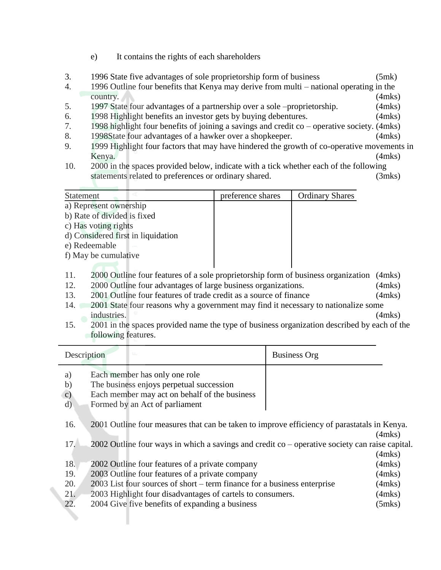- e) It contains the rights of each shareholders
- 3. 1996 State five advantages of sole proprietorship form of business (5mk)
- 4. 1996 Outline four benefits that Kenya may derive from multi national operating in the country. (4mks)
- 5. 1997 State four advantages of a partnership over a sole –proprietorship. (4mks)
- 6. 1998 Highlight benefits an investor gets by buying debentures. (4mks)
- 7. 1998 highlight four benefits of joining a savings and credit co operative society. (4mks)
- 8. 1998State four advantages of a hawker over a shopkeeper. (4mks)
- 9. 1999 Highlight four factors that may have hindered the growth of co-operative movements in Kenya. (4mks)
- 10. 2000 in the spaces provided below, indicate with a tick whether each of the following statements related to preferences or ordinary shared. (3mks)

| <b>Statement</b>                   | preference shares | <b>Ordinary Shares</b> |
|------------------------------------|-------------------|------------------------|
| a) Represent ownership             |                   |                        |
| b) Rate of divided is fixed        |                   |                        |
| c) Has voting rights               |                   |                        |
| d) Considered first in liquidation |                   |                        |
| e) Redeemable                      |                   |                        |
| f) May be cumulative               |                   |                        |
|                                    |                   |                        |

- 11. 2000 Outline four features of a sole proprietorship form of business organization (4mks)
- 12. 2000 Outline four advantages of large business organizations. (4mks)
- 13. 2001 Outline four features of trade credit as a source of finance (4mks)
- 14. 2001 State four reasons why a government may find it necessary to nationalize some industries. (4mks)
- 15. 2001 in the spaces provided name the type of business organization described by each of the following features.

| Description                           |                                                                                                                                                              | <b>Business Org</b> |              |
|---------------------------------------|--------------------------------------------------------------------------------------------------------------------------------------------------------------|---------------------|--------------|
| a)<br>b)<br>$\mathbf{c})$<br>$\rm d)$ | Each member has only one role<br>The business enjoys perpetual succession<br>Each member may act on behalf of the business<br>Formed by an Act of parliament |                     |              |
| 16.                                   | 2001 Outline four measures that can be taken to improve efficiency of parastatals in Kenya.                                                                  |                     | $(4$ mks $)$ |
| 17.                                   | $2002$ Outline four ways in which a savings and credit co – operative society can raise capital.                                                             |                     | (4mks)       |
| 18.                                   | 2002 Outline four features of a private company                                                                                                              |                     | (4mks)       |
| 19.                                   | 2003 Outline four features of a private company                                                                                                              |                     | $(4$ mks $)$ |
| 20.                                   | 2003 List four sources of short – term finance for a business enterprise                                                                                     |                     | $(4$ mks $)$ |
| 21.                                   | 2003 Highlight four disadvantages of cartels to consumers.                                                                                                   |                     | $(4$ mks $)$ |
| 22.                                   | 2004 Give five benefits of expanding a business                                                                                                              |                     | $(5$ mks $)$ |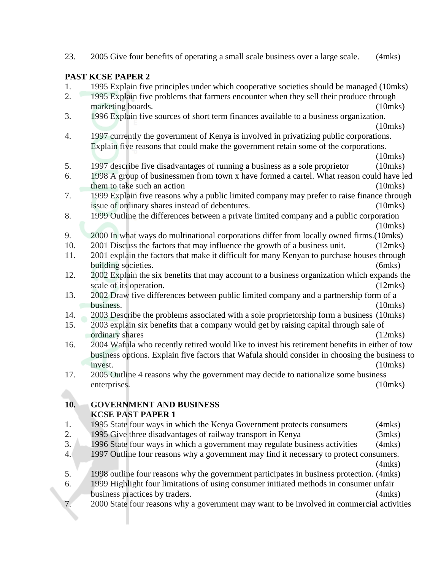|     | <b>PAST KCSE PAPER 2</b>                                                                           |               |
|-----|----------------------------------------------------------------------------------------------------|---------------|
| 1.  | 1995 Explain five principles under which cooperative societies should be managed (10mks)           |               |
| 2.  | 1995 Explain five problems that farmers encounter when they sell their produce through             |               |
|     | marketing boards.                                                                                  | $(10$ mks $)$ |
| 3.  | 1996 Explain five sources of short term finances available to a business organization.             |               |
|     |                                                                                                    | $(10$ mks $)$ |
| 4.  | 1997 currently the government of Kenya is involved in privatizing public corporations.             |               |
|     | Explain five reasons that could make the government retain some of the corporations.               |               |
|     |                                                                                                    | $(10$ mks $)$ |
| 5.  | 1997 describe five disadvantages of running a business as a sole proprietor                        | $(10$ mks $)$ |
| 6.  | 1998 A group of businessmen from town x have formed a cartel. What reason could have led           |               |
|     | them to take such an action                                                                        | $(10$ mks $)$ |
| 7.  | 1999 Explain five reasons why a public limited company may prefer to raise finance through         |               |
|     | issue of ordinary shares instead of debentures.                                                    | $(10$ mks $)$ |
| 8.  | 1999 Outline the differences between a private limited company and a public corporation            |               |
|     |                                                                                                    | $(10$ mks $)$ |
| 9.  | 2000 In what ways do multinational corporations differ from locally owned firms. (10mks)           |               |
| 10. | 2001 Discuss the factors that may influence the growth of a business unit.                         | (12mks)       |
| 11. | 2001 explain the factors that make it difficult for many Kenyan to purchase houses through         |               |
|     | building societies.                                                                                | $(6$ mks $)$  |
| 12. | 2002 Explain the six benefits that may account to a business organization which expands the        |               |
| 13. | scale of its operation.                                                                            | (12mks)       |
|     | 2002 Draw five differences between public limited company and a partnership form of a<br>business. | $(10$ mks $)$ |
| 14. | 2003 Describe the problems associated with a sole proprietorship form a business (10mks)           |               |
| 15. | 2003 explain six benefits that a company would get by raising capital through sale of              |               |
|     | ordinary shares                                                                                    | (12mks)       |
| 16. | 2004 Wafula who recently retired would like to invest his retirement benefits in either of tow     |               |
|     | business options. Explain five factors that Wafula should consider in choosing the business to     |               |
|     | invest.                                                                                            | $(10$ mks $)$ |
| 17. | 2005 Outline 4 reasons why the government may decide to nationalize some business                  |               |
|     | enterprises.                                                                                       | $(10$ mks $)$ |
|     |                                                                                                    |               |
| 10. | <b>GOVERNMENT AND BUSINESS</b>                                                                     |               |
|     | <b>KCSE PAST PAPER 1</b>                                                                           |               |
| 1.  | 1995 State four ways in which the Kenya Government protects consumers                              | $(4$ mks $)$  |
| 2.  | 1995 Give three disadvantages of railway transport in Kenya                                        | $(3$ mks $)$  |
| 3.  | 1996 State four ways in which a government may regulate business activities                        | $(4$ mks $)$  |
| 4.  | 1997 Outline four reasons why a government may find it necessary to protect consumers.             |               |
|     |                                                                                                    | $(4$ mks $)$  |
| 5.  | 1998 outline four reasons why the government participates in business protection. (4mks)           |               |

23. 2005 Give four benefits of operating a small scale business over a large scale. (4mks)

- 6. 1999 Highlight four limitations of using consumer initiated methods in consumer unfair business practices by traders. (4mks)
- 7. 2000 State four reasons why a government may want to be involved in commercial activities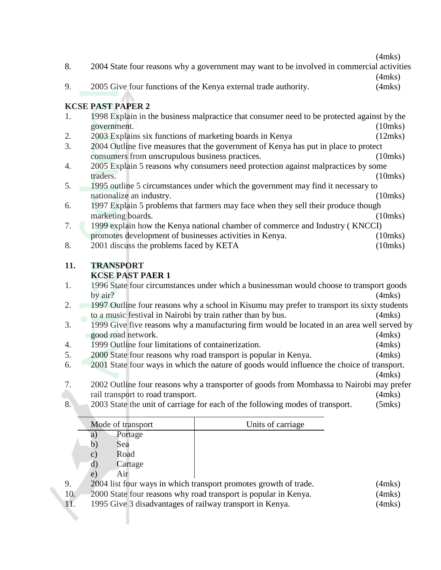$(4m\text{ke})$ 

|     | (4111KS)                                                                                      |  |  |  |  |
|-----|-----------------------------------------------------------------------------------------------|--|--|--|--|
| 8.  | 2004 State four reasons why a government may want to be involved in commercial activities     |  |  |  |  |
|     | $(4$ mks $)$                                                                                  |  |  |  |  |
| 9.  | 2005 Give four functions of the Kenya external trade authority.<br>$(4$ mks $)$               |  |  |  |  |
|     |                                                                                               |  |  |  |  |
|     |                                                                                               |  |  |  |  |
|     | <b>KCSE PAST PAPER 2</b>                                                                      |  |  |  |  |
| 1.  | 1998 Explain in the business malpractice that consumer need to be protected against by the    |  |  |  |  |
|     | $(10$ mks $)$<br>government.                                                                  |  |  |  |  |
| 2.  | 2003 Explains six functions of marketing boards in Kenya<br>(12mks)                           |  |  |  |  |
| 3.  | 2004 Outline five measures that the government of Kenya has put in place to protect           |  |  |  |  |
|     |                                                                                               |  |  |  |  |
|     | consumers from unscrupulous business practices.<br>$(10$ mks $)$                              |  |  |  |  |
| 4.  | 2005 Explain 5 reasons why consumers need protection against malpractices by some             |  |  |  |  |
|     | $(10$ mks $)$<br>traders.                                                                     |  |  |  |  |
| 5.  | 1995 outline 5 circumstances under which the government may find it necessary to              |  |  |  |  |
|     | $(10$ mks $)$<br>nationalize an industry.                                                     |  |  |  |  |
| 6.  | 1997 Explain 5 problems that farmers may face when they sell their produce though             |  |  |  |  |
|     | marketing boards.<br>$(10$ mks $)$                                                            |  |  |  |  |
|     |                                                                                               |  |  |  |  |
| 7.  | 1999 explain how the Kenya national chamber of commerce and Industry (KNCCI)                  |  |  |  |  |
|     | promotes development of businesses activities in Kenya.<br>$(10$ mks $)$                      |  |  |  |  |
| 8.  | 2001 discuss the problems faced by KETA<br>$(10$ mks $)$                                      |  |  |  |  |
|     |                                                                                               |  |  |  |  |
|     |                                                                                               |  |  |  |  |
|     | <b>TRANSPORT</b>                                                                              |  |  |  |  |
| 11. |                                                                                               |  |  |  |  |
|     | <b>KCSE PAST PAER 1</b>                                                                       |  |  |  |  |
| 1.  | 1996 State four circumstances under which a businessman would choose to transport goods       |  |  |  |  |
|     | by air?<br>$(4$ mks $)$                                                                       |  |  |  |  |
| 2.  | 1997 Outline four reasons why a school in Kisumu may prefer to transport its sixty students   |  |  |  |  |
|     | to a music festival in Nairobi by train rather than by bus.<br>$(4$ mks $)$                   |  |  |  |  |
| 3.  |                                                                                               |  |  |  |  |
|     | 1999 Give five reasons why a manufacturing firm would be located in an area well served by    |  |  |  |  |
|     | good road network.<br>$(4$ mks $)$                                                            |  |  |  |  |
| 4.  | 1999 Outline four limitations of containerization.<br>$(4$ mks $)$                            |  |  |  |  |
| 5.  | 2000 State four reasons why road transport is popular in Kenya.<br>$(4$ mks $)$               |  |  |  |  |
| 6.  | 2001 State four ways in which the nature of goods would influence the choice of transport.    |  |  |  |  |
|     | $(4$ mks $)$                                                                                  |  |  |  |  |
| 7.  | 2002 Outline four reasons why a transporter of goods from Mombassa to Nairobi may prefer      |  |  |  |  |
|     | $(4$ mks $)$                                                                                  |  |  |  |  |
|     | rail transport to road transport.                                                             |  |  |  |  |
| 8.  | 2003 State the unit of carriage for each of the following modes of transport.<br>$(5$ mks $)$ |  |  |  |  |
|     |                                                                                               |  |  |  |  |
|     | Mode of transport<br>Units of carriage                                                        |  |  |  |  |
|     | Portage<br>a)<br>b)<br>Sea                                                                    |  |  |  |  |

- c) Road<br>d) Cartag
- d) Cartage
- Air
- 9. 2004 list four ways in which transport promotes growth of trade. (4mks)<br>10. 2000 State four reasons why road transport is popular in Kenya. (4mks)
- 10. 2000 State four reasons why road transport is popular in Kenya. (4mks)<br>11. 1995 Give 3 disadvantages of railway transport in Kenya. (4mks)
- 1. 1995 Give 3 disadvantages of railway transport in Kenya.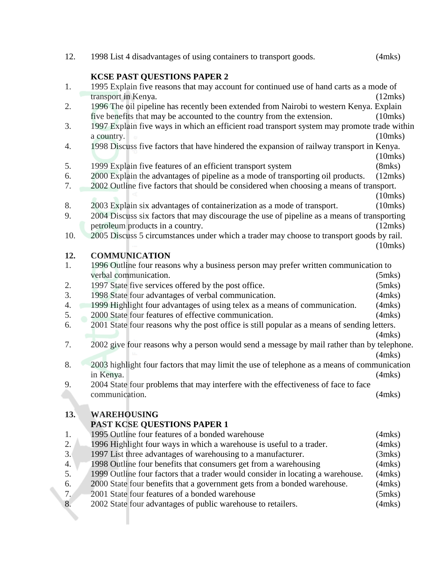| 12. | 1998 List 4 disadvantages of using containers to transport goods.                           | $(4$ mks $)$  |
|-----|---------------------------------------------------------------------------------------------|---------------|
|     | KCSE PAST QUESTIONS PAPER 2                                                                 |               |
| 1.  | 1995 Explain five reasons that may account for continued use of hand carts as a mode of     |               |
|     | transport in Kenya.                                                                         | (12mks)       |
| 2.  | 1996 The oil pipeline has recently been extended from Nairobi to western Kenya. Explain     |               |
|     | five benefits that may be accounted to the country from the extension.                      | $(10$ mks $)$ |
| 3.  | 1997 Explain five ways in which an efficient road transport system may promote trade within |               |
|     |                                                                                             |               |
|     | a country.                                                                                  | $(10$ mks $)$ |
| 4.  | 1998 Discuss five factors that have hindered the expansion of railway transport in Kenya.   |               |
|     |                                                                                             | $(10$ mks $)$ |
| 5.  | 1999 Explain five features of an efficient transport system                                 | $(8$ mks $)$  |
| 6.  | 2000 Explain the advantages of pipeline as a mode of transporting oil products.             | (12mks)       |
| 7.  | 2002 Outline five factors that should be considered when choosing a means of transport.     |               |
|     |                                                                                             | $(10$ mks $)$ |
| 8.  | 2003 Explain six advantages of containerization as a mode of transport.                     | $(10$ mks $)$ |
| 9.  | 2004 Discuss six factors that may discourage the use of pipeline as a means of transporting |               |
|     | petroleum products in a country.                                                            | (12mks)       |
| 10. | 2005 Discuss 5 circumstances under which a trader may choose to transport goods by rail.    |               |
|     |                                                                                             | $(10$ mks $)$ |
| 12. | <b>COMMUNICATION</b>                                                                        |               |
| 1.  | 1996 Outline four reasons why a business person may prefer written communication to         |               |
|     | verbal communication.                                                                       | $(5$ mks $)$  |
| 2.  | 1997 State five services offered by the post office.                                        | $(5$ mks $)$  |
| 3.  | 1998 State four advantages of verbal communication.                                         | $(4$ mks $)$  |
| 4.  | 1999 Highlight four advantages of using telex as a means of communication.                  | $(4$ mks $)$  |
| 5.  | 2000 State four features of effective communication.                                        | $(4$ mks $)$  |
| 6.  | 2001 State four reasons why the post office is still popular as a means of sending letters. |               |
|     |                                                                                             | $(4$ mks $)$  |
| 7.  | 2002 give four reasons why a person would send a message by mail rather than by telephone.  |               |
|     |                                                                                             | $(4$ mks $)$  |
| 8.  | 2003 highlight four factors that may limit the use of telephone as a means of communication |               |
|     | in Kenya.                                                                                   | $(4$ mks $)$  |
| 9.  | 2004 State four problems that may interfere with the effectiveness of face to face          |               |
|     | communication.                                                                              | $(4$ mks $)$  |
|     |                                                                                             |               |
| 13. | <b>WAREHOUSING</b>                                                                          |               |
|     | <b>PAST KCSE QUESTIONS PAPER 1</b>                                                          |               |
| 1.  | 1995 Outline four features of a bonded warehouse                                            | $(4$ mks $)$  |
| 2.  | 1996 Highlight four ways in which a warehouse is useful to a trader.                        | $(4$ mks $)$  |
| 3.  | 1997 List three advantages of warehousing to a manufacturer.                                | (3mks)        |
| 4.  | 1998 Outline four benefits that consumers get from a warehousing                            | $(4$ mks $)$  |
| 5.  | 1999 Outline four factors that a trader would consider in locating a warehouse.             | $(4$ mks $)$  |
| 6.  | 2000 State four benefits that a government gets from a bonded warehouse.                    | $(4$ mks $)$  |
| 7.  | 2001 State four features of a bonded warehouse                                              | $(5$ mks $)$  |
| 8.  | 2002 State four advantages of public warehouse to retailers.                                | $(4$ mks $)$  |
|     |                                                                                             |               |
|     |                                                                                             |               |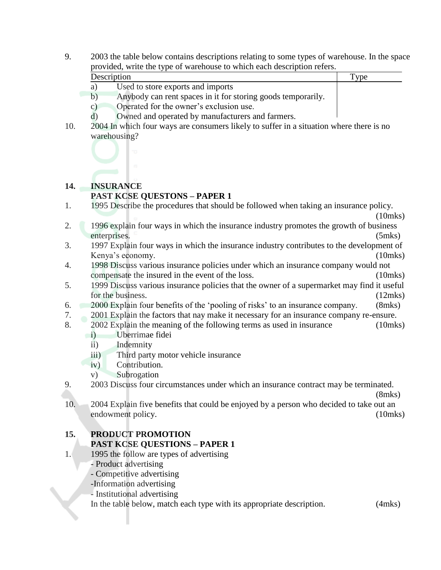9. 2003 the table below contains descriptions relating to some types of warehouse. In the space provided, write the type of warehouse to which each description refers.

| Description |                                                              |  |
|-------------|--------------------------------------------------------------|--|
|             | Used to store exports and imports                            |  |
|             | Apricady can nont encose in it for storing goods temperanily |  |

- b) Anybody can rent spaces in it for storing goods temporarily.
- c) Operated for the owner's exclusion use.
- d) Owned and operated by manufacturers and farmers.
- 10. 2004 In which four ways are consumers likely to suffer in a situation where there is no warehousing?



# **14. INSURANCE**

### **PAST KCSE QUESTONS – PAPER 1**

- 1. 1995 Describe the procedures that should be followed when taking an insurance policy.
- (10mks) 2. 1996 explain four ways in which the insurance industry promotes the growth of business enterprises. (5mks)
- 3. 1997 Explain four ways in which the insurance industry contributes to the development of Kenya's economy. (10mks)
- 4. 1998 Discuss various insurance policies under which an insurance company would not compensate the insured in the event of the loss. (10mks)
- 5. 1999 Discuss various insurance policies that the owner of a supermarket may find it useful for the business. (12mks)
- 6. 2000 Explain four benefits of the 'pooling of risks' to an insurance company. (8mks)
- 7. 2001 Explain the factors that nay make it necessary for an insurance company re-ensure.
- 8. 2002 Explain the meaning of the following terms as used in insurance (10mks)
	- i) Uberrimae fidei
		- ii) Indemnity
		- iii) Third party motor vehicle insurance
	- iv) Contribution.
	- v) Subrogation
- 9. 2003 Discuss four circumstances under which an insurance contract may be terminated.
- (8mks) 10. 2004 Explain five benefits that could be enjoyed by a person who decided to take out an endowment policy. (10mks)

# **15. PRODUCT PROMOTION PAST KCSE QUESTIONS – PAPER 1**

- 1. 1995 the follow are types of advertising
	- Product advertising
	- Competitive advertising
	- -Information advertising
	- Institutional advertising

In the table below, match each type with its appropriate description. (4mks)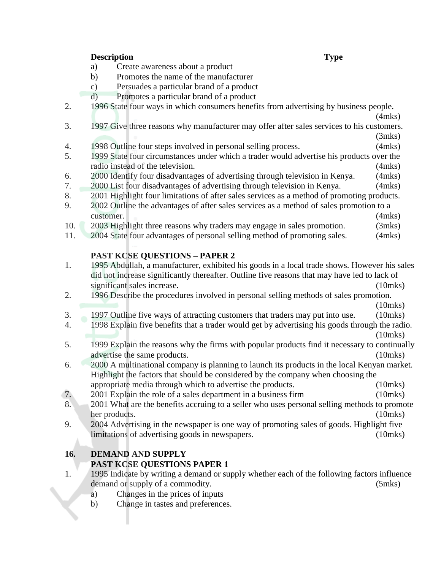### **Description Type**

- a) Create awareness about a product
- b) Promotes the name of the manufacturer
- c) Persuades a particular brand of a product
- d) Promotes a particular brand of a product
- 2. 1996 State four ways in which consumers benefits from advertising by business people.

(4mks)

- 3. 1997 Give three reasons why manufacturer may offer after sales services to his customers.
- (3mks) 4. 1998 Outline four steps involved in personal selling process. (4mks)
- 5. 1999 State four circumstances under which a trader would advertise his products over the radio instead of the television. (4mks)
- 6. 2000 Identify four disadvantages of advertising through television in Kenya. (4mks)
- 7. 2000 List four disadvantages of advertising through television in Kenya. (4mks)
- 8. 2001 Highlight four limitations of after sales services as a method of promoting products.
- 9. 2002 Outline the advantages of after sales services as a method of sales promotion to a customer. (4mks)
- 10. 2003 Highlight three reasons why traders may engage in sales promotion. (3mks)
- 11. 2004 State four advantages of personal selling method of promoting sales. (4mks)

# **PAST KCSE QUESTIONS – PAPER 2**

- 1. 1995 Abdullah, a manufacturer, exhibited his goods in a local trade shows. However his sales did not increase significantly thereafter. Outline five reasons that may have led to lack of significant sales increase. (10mks)
- 2. 1996 Describe the procedures involved in personal selling methods of sales promotion. (10mks)
- 3. 1997 Outline five ways of attracting customers that traders may put into use. (10mks)
- 4. 1998 Explain five benefits that a trader would get by advertising his goods through the radio. (10mks)
- 5. 1999 Explain the reasons why the firms with popular products find it necessary to continually advertise the same products. (10mks)
- 6. 2000 A multinational company is planning to launch its products in the local Kenyan market. Highlight the factors that should be considered by the company when choosing the appropriate media through which to advertise the products. (10mks)
- 7. 2001 Explain the role of a sales department in a business firm (10mks)
- 8. 2001 What are the benefits accruing to a seller who uses personal selling methods to promote her products. (10mks)
- 9. 2004 Advertising in the newspaper is one way of promoting sales of goods. Highlight five limitations of advertising goods in newspapers. (10mks)

# **16. DEMAND AND SUPPLY**

# **PAST KCSE QUESTIONS PAPER 1**

- 1. 1995 Indicate by writing a demand or supply whether each of the following factors influence demand or supply of a commodity. (5mks)
	- a) Changes in the prices of inputs
	- b) Change in tastes and preferences.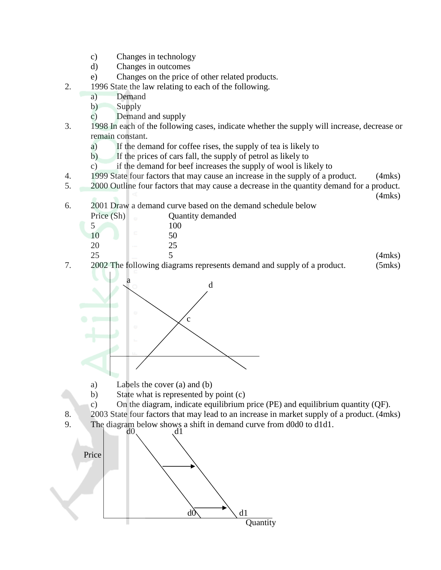- c) Changes in technology
- d) Changes in outcomes
- e) Changes on the price of other related products.
- 2. 1996 State the law relating to each of the following.
	- a) Demand
	- b) Supply
	- c) Demand and supply
- 3. 1998 In each of the following cases, indicate whether the supply will increase, decrease or remain constant.
	- a) If the demand for coffee rises, the supply of tea is likely to
	- b) If the prices of cars fall, the supply of petrol as likely to
	- c) if the demand for beef increases the supply of wool is likely to
- 4. 1999 State four factors that may cause an increase in the supply of a product. (4mks)
- 5. 2000 Outline four factors that may cause a decrease in the quantity demand for a product.

(4mks)

6. 2001 Draw a demand curve based on the demand schedule below

| Price (Sh)                                                                                                                      | Quantity demanded                                                     |        |
|---------------------------------------------------------------------------------------------------------------------------------|-----------------------------------------------------------------------|--------|
|                                                                                                                                 | 100                                                                   |        |
|                                                                                                                                 | 50                                                                    |        |
| 20<br><b>STATE</b>                                                                                                              | 25                                                                    |        |
| 25<br>$\frac{1}{2} \left( \frac{1}{2} \right) \left( \frac{1}{2} \right) \left( \frac{1}{2} \right) \left( \frac{1}{2} \right)$ |                                                                       | (4mks) |
|                                                                                                                                 | 2002 The following diagrams represents demand and supply of a product | (5mks) |

7. 2002 The following diagrams represents demand and supply of a product. (5mks)



- a) Labels the cover (a) and (b)
- b) State what is represented by point (c)
- c) On the diagram, indicate equilibrium price (PE) and equilibrium quantity (QF).
- 8. 2003 State four factors that may lead to an increase in market supply of a product. (4mks)
- 9. The diagram below shows a shift in demand curve from  $d0d0$  to  $d1d1$ .

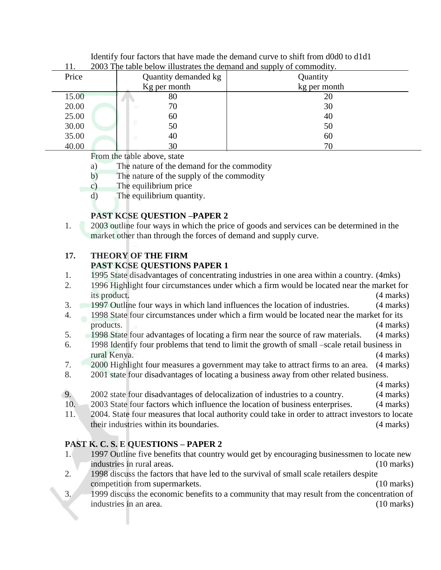|       | 2003 The table below illustrates the demand and supply of commodity. |              |
|-------|----------------------------------------------------------------------|--------------|
| Price | Quantity demanded kg                                                 | Quantity     |
|       | Kg per month                                                         | kg per month |
| 15.00 | 80                                                                   | 20           |
| 20.00 | 70                                                                   | 30           |
| 25.00 | 60                                                                   | 40           |
| 30.00 | ε<br>50                                                              | 50           |
| 35.00 | 40                                                                   | 60           |
| 40.00 | 30                                                                   | 70           |

Identify four factors that have made the demand curve to shift from d0d0 to d1d1 11. 2003 The table below illustrates the demand and supply of commodity.

From the table above, state

- a) The nature of the demand for the commodity
- b) The nature of the supply of the commodity
- c) The equilibrium price
- d) The equilibrium quantity.

# **PAST KCSE QUESTION –PAPER 2**

1. 2003 outline four ways in which the price of goods and services can be determined in the market other than through the forces of demand and supply curve.

### **17. THEORY OF THE FIRM PAST KCSE QUESTIONS PAPER 1**

- 1. 1995 State disadvantages of concentrating industries in one area within a country. (4mks)
- 2. 1996 Highlight four circumstances under which a firm would be located near the market for its product. (4 marks)
- 3. 1997 Outline four ways in which land influences the location of industries. (4 marks)
- 4. 1998 State four circumstances under which a firm would be located near the market for its products. (4 marks)
- 5. 1998 State four advantages of locating a firm near the source of raw materials. (4 marks)
- 6. 1998 Identify four problems that tend to limit the growth of small –scale retail business in rural Kenya. (4 marks)
- 7. 2000 Highlight four measures a government may take to attract firms to an area. (4 marks)
- 8. 2001 state four disadvantages of locating a business away from other related business.

(4 marks)

- 9. 2002 state four disadvantages of delocalization of industries to a country. (4 marks)
- 10. 2003 State four factors which influence the location of business enterprises. (4 marks)
- 11. 2004. State four measures that local authority could take in order to attract investors to locate their industries within its boundaries. (4 marks)

# **PAST K. C. S. E QUESTIONS – PAPER 2**

- 1. 1997 Outline five benefits that country would get by encouraging businessmen to locate new industries in rural areas. (10 marks)
- 2. 1998 discuss the factors that have led to the survival of small scale retailers despite competition from supermarkets. (10 marks)
- 3. 1999 discuss the economic benefits to a community that may result from the concentration of industries in an area. (10 marks)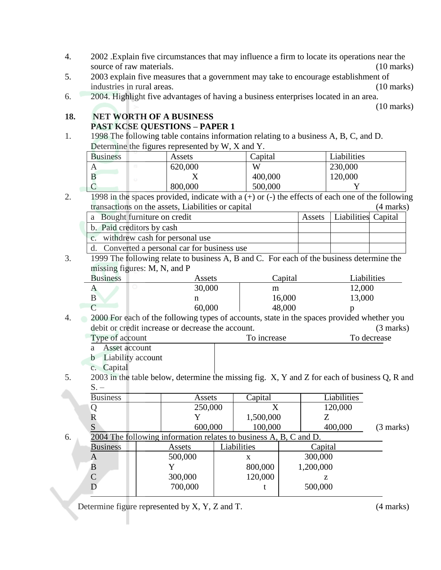- 4. 2002 .Explain five circumstances that may influence a firm to locate its operations near the source of raw materials. (10 marks) (10 marks)
- 5. 2003 explain five measures that a government may take to encourage establishment of industries in rural areas. (10 marks)
- 6. 2004. Highlight five advantages of having a business enterprises located in an area.

(10 marks)

### **18. NET WORTH OF A BUSINESS PAST KCSE QUESTIONS – PAPER 1**

1. 1998 The following table contains information relating to a business A, B, C, and D. Determine the figures represented by W, X and Y.

| <b>Business</b> | ັ | Assets  | Capital | Liabilities |
|-----------------|---|---------|---------|-------------|
|                 |   | 620,000 | W       | 230,000     |
|                 |   |         | 400,000 | 120,000     |
|                 |   | 800,000 | 500,000 |             |

2. 1998 in the spaces provided, indicate with a  $(+)$  or  $(-)$  the effects of each one of the following transactions on the assets, Liabilities or capital (4 marks)

| a Bought furniture on credit                 | Assets   Liabilities Capital |  |
|----------------------------------------------|------------------------------|--|
| b. Paid creditors by cash                    |                              |  |
| c. withdrew cash for personal use            |                              |  |
| d. Converted a personal car for business use |                              |  |

3. 1999 The following relate to business A, B and C. For each of the business determine the missing figures: M, N, and P

| <b>Business</b> | Assets | Capital | Liabilities |
|-----------------|--------|---------|-------------|
|                 | 30,000 | m       | 12,000      |
|                 | п      | 16,000  | 13,000      |
|                 | 60,000 | 48,000  |             |

4. 2000 For each of the following types of accounts, state in the spaces provided whether you debit or credit increase or decrease the account. (3 marks) Type of account To increase To decrease To decrease

- a Asset account
- b Liability account
- c. Capital
- 5. 2003 in the table below, determine the missing fig. X, Y and Z for each of business Q, R and  $S. -$

|    | <b>Business</b> | Assets                                                            | Capital     | Liabilities |           |
|----|-----------------|-------------------------------------------------------------------|-------------|-------------|-----------|
|    |                 | 250,000                                                           | X           | 120,000     |           |
|    | R               |                                                                   | 1,500,000   |             |           |
|    | S               | 600,000                                                           | 100,000     | 400,000     | (3 marks) |
| 6. |                 | 2004 The following information relates to business A, B, C and D. |             |             |           |
|    | <b>Business</b> | Assets                                                            | Liabilities | Capital     |           |
|    | A               | 500,000                                                           | x           | 300,000     |           |
|    | B               |                                                                   | 800,000     | 1,200,000   |           |
|    | $\mathsf{C}$    | 300,000                                                           | 120,000     | z           |           |
|    |                 | 700,000                                                           |             | 500,000     |           |

Determine figure represented by X, Y, Z and T. (4 marks)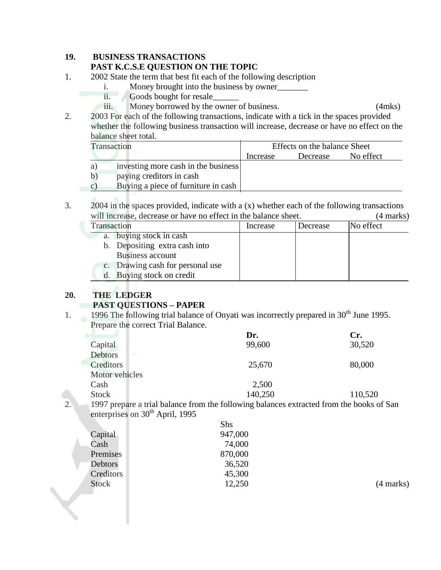### **19. BUSINESS TRANSACTIONS**

### **PAST K.C.S.E QUESTION ON THE TOPIC**

- 1. 2002 State the term that best fit each of the following description
	- i. Money brought into the business by owner
	- ii. Goods bought for resale\_\_\_\_\_\_\_\_
	- iii. Money borrowed by the owner of business. (4mks)

2. 2003 For each of the following transactions, indicate with a tick in the spaces provided whether the following business transaction will increase, decrease or have no effect on the balance sheet total.

| Transaction   |                                     | Effects on the balance Sheet |          |           |  |
|---------------|-------------------------------------|------------------------------|----------|-----------|--|
|               |                                     | Increase                     | Decrease | No effect |  |
| a)            | investing more cash in the business |                              |          |           |  |
| b)            | paying creditors in cash            |                              |          |           |  |
| $\mathcal{C}$ | Buying a piece of furniture in cash |                              |          |           |  |

3. 2004 in the spaces provided, indicate with a  $(x)$  whether each of the following transactions will increase, decrease or have no effect in the balance sheet. (4 marks)

| Transaction               |                                  | Increase | Decrease | No effect |
|---------------------------|----------------------------------|----------|----------|-----------|
|                           | a. buying stock in cash          |          |          |           |
|                           | b. Depositing extra cash into    |          |          |           |
| Business account          |                                  |          |          |           |
|                           | c. Drawing cash for personal use |          |          |           |
| d. Buying stock on credit |                                  |          |          |           |
|                           |                                  |          |          |           |

# **20. THE LEDGER**

# **PAST QUESTIONS – PAPER**

1. 1996 The following trial balance of Onyati was incorrectly prepared in  $30<sup>th</sup>$  June 1995. Prepare the correct Trial Balance.

|                  |                                             | Dr.                                                                                      | Cr.     |
|------------------|---------------------------------------------|------------------------------------------------------------------------------------------|---------|
|                  | ÷.<br>Capital                               | 99,600                                                                                   | 30,520  |
|                  | <b>Debtors</b><br>LL.                       |                                                                                          |         |
|                  | Creditors                                   | 25,670                                                                                   | 80,000  |
|                  | Motor vehicles                              |                                                                                          |         |
|                  | Cash                                        | 2,500                                                                                    |         |
|                  | <b>Stock</b>                                | 140,250                                                                                  | 110,520 |
| $\overline{2}$ . |                                             | 1997 prepare a trial balance from the following balances extracted from the books of San |         |
|                  | enterprises on 30 <sup>th</sup> April, 1995 |                                                                                          |         |

|              | Shs     |           |
|--------------|---------|-----------|
| Capital      | 947,000 |           |
| Cash         | 74,000  |           |
| Premises     | 870,000 |           |
| Debtors      | 36,520  |           |
| Creditors    | 45,300  |           |
| <b>Stock</b> | 12,250  | (4 marks) |
|              |         |           |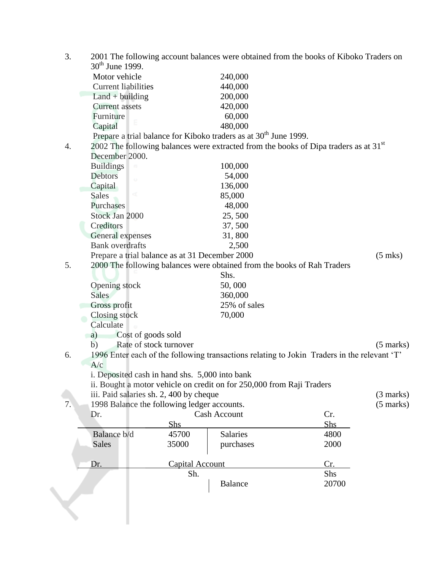| 3. |                                                |                        |                                                                              | 2001 The following account balances were obtained from the books of Kiboko Traders on       |                     |
|----|------------------------------------------------|------------------------|------------------------------------------------------------------------------|---------------------------------------------------------------------------------------------|---------------------|
|    | $30^{th}$ June 1999.                           |                        |                                                                              |                                                                                             |                     |
|    | Motor vehicle                                  |                        | 240,000                                                                      |                                                                                             |                     |
|    | <b>Current liabilities</b>                     |                        | 440,000                                                                      |                                                                                             |                     |
|    | $Land + building$                              |                        | 200,000                                                                      |                                                                                             |                     |
|    | <b>Current assets</b>                          |                        | 420,000                                                                      |                                                                                             |                     |
|    | Furniture                                      |                        | 60,000                                                                       |                                                                                             |                     |
|    | Capital                                        |                        | 480,000                                                                      |                                                                                             |                     |
|    |                                                |                        | Prepare a trial balance for Kiboko traders as at 30 <sup>th</sup> June 1999. |                                                                                             |                     |
| 4. |                                                |                        |                                                                              | 2002 The following balances were extracted from the books of Dipa traders as at $31st$      |                     |
|    | December 2000.                                 |                        |                                                                              |                                                                                             |                     |
|    | <b>Buildings</b>                               |                        | 100,000                                                                      |                                                                                             |                     |
|    | Debtors                                        |                        | 54,000                                                                       |                                                                                             |                     |
|    | Capital                                        |                        | 136,000                                                                      |                                                                                             |                     |
|    | <b><t< b=""><br/><b>Sales</b></t<></b>         |                        | 85,000                                                                       |                                                                                             |                     |
|    | Purchases                                      |                        | 48,000                                                                       |                                                                                             |                     |
|    | Stock Jan 2000                                 |                        | 25,500                                                                       |                                                                                             |                     |
|    | Creditors                                      |                        | 37,500                                                                       |                                                                                             |                     |
|    | General expenses                               |                        | 31,800                                                                       |                                                                                             |                     |
|    | <b>Bank</b> overdrafts                         |                        | 2,500                                                                        |                                                                                             |                     |
|    | Prepare a trial balance as at 31 December 2000 |                        |                                                                              |                                                                                             | $(5$ mks)           |
| 5. |                                                |                        | 2000 The following balances were obtained from the books of Rah Traders      |                                                                                             |                     |
|    |                                                |                        | Shs.                                                                         |                                                                                             |                     |
|    | Opening stock                                  |                        | 50,000                                                                       |                                                                                             |                     |
|    | <b>Sales</b>                                   |                        | 360,000                                                                      |                                                                                             |                     |
|    | Gross profit                                   |                        | 25% of sales                                                                 |                                                                                             |                     |
|    | Closing stock                                  |                        | 70,000                                                                       |                                                                                             |                     |
|    | Calculate                                      |                        |                                                                              |                                                                                             |                     |
|    | Cost of goods sold<br>a)                       |                        |                                                                              |                                                                                             |                     |
|    | b)                                             | Rate of stock turnover |                                                                              |                                                                                             | $(5 \text{ marks})$ |
| 6. |                                                |                        |                                                                              | 1996 Enter each of the following transactions relating to Jokin Traders in the relevant 'T' |                     |
|    | A/c                                            |                        |                                                                              |                                                                                             |                     |
|    | i. Deposited cash in hand shs. 5,000 into bank |                        |                                                                              |                                                                                             |                     |
|    |                                                |                        | ii. Bought a motor vehicle on credit on for 250,000 from Raji Traders        |                                                                                             |                     |
|    | iii. Paid salaries sh. 2, 400 by cheque        |                        |                                                                              |                                                                                             | (3 marks)           |
| 7. | 1998 Balance the following ledger accounts.    |                        |                                                                              |                                                                                             | $(5 \text{ marks})$ |
|    | Dr.                                            |                        | <b>Cash Account</b>                                                          | Cr.                                                                                         |                     |
|    |                                                | <u>Shs</u>             |                                                                              | Shs                                                                                         |                     |
|    | Balance b/d                                    | 45700                  | <b>Salaries</b>                                                              | 4800                                                                                        |                     |
|    | <b>Sales</b>                                   | 35000                  | purchases                                                                    | 2000                                                                                        |                     |
|    | Dr.                                            | <b>Capital Account</b> |                                                                              | Cr.                                                                                         |                     |
|    |                                                | Sh.                    |                                                                              | Shs                                                                                         |                     |
|    |                                                |                        | <b>Balance</b>                                                               | 20700                                                                                       |                     |
|    |                                                |                        |                                                                              |                                                                                             |                     |
|    |                                                |                        |                                                                              |                                                                                             |                     |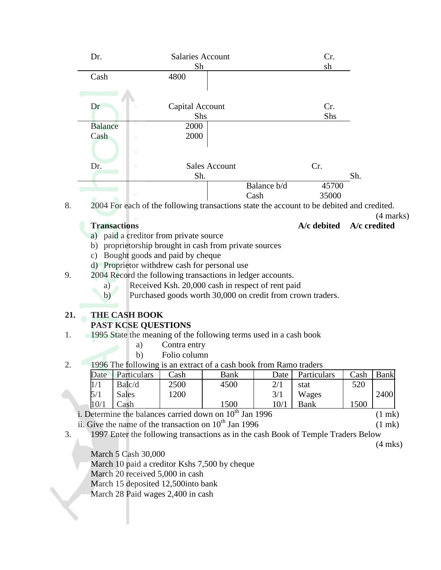| Dr.            | <b>Salaries Account</b>                     |             | Cr.   |
|----------------|---------------------------------------------|-------------|-------|
|                | Sh                                          |             | sh    |
| Cash           | 4800                                        |             |       |
|                |                                             |             |       |
| Dr             | Capital Account                             |             | Cr.   |
|                | Shs                                         |             | Shs   |
| <b>Balance</b> | ⋸<br>2000                                   |             |       |
| Cash           | 2000<br>$\cup$                              |             |       |
|                | 73                                          |             |       |
| Dr.            | <b>Sales Account</b><br>$\overline{\rm 10}$ |             | Cr.   |
|                | Sh.                                         |             | Sh.   |
|                |                                             | Balance b/d | 45700 |
| ÷              | ď                                           | Cash        | 35000 |

8. 2004 For each of the following transactions state the account to be debited and credited.

(4 marks)

**Transactions A/c debited A/c credited**

- a) paid a creditor from private source
- b) proprietorship brought in cash from private sources
- c) Bought goods and paid by cheque
- d) Proprietor withdrew cash for personal use
- 9. 2004 Record the following transactions in ledger accounts.
	- a) Received Ksh. 20,000 cash in respect of rent paid
	- b) Purchased goods worth 30,000 on credit from crown traders.

# **21. THE CASH BOOK**

# **PAST KCSE QUESTIONS**

- 1. 1995 State the meaning of the following terms used in a cash book
	- a) Contra entry
	- b) Folio column
- 2. 1996 The following is an extract of a cash book from Ramo traders

| Date | Particulars  | Cash | Bank | Date                     | Particulars | $\alpha$ sh | <b>Bank</b> |
|------|--------------|------|------|--------------------------|-------------|-------------|-------------|
|      | Balc/d       | 2500 | 4500 | $\mathcal{D}$ /1<br>21 I | stat        | 520         |             |
| 5/1  | <b>Sales</b> | .200 |      | 3/1                      | Wages       |             | 2400        |
| 10/1 | `ash         |      | 1500 | 10/1                     | Bank        | 1500        |             |

i. Determine the balances carried down on  $10^{th}$  Jan 1996 (1 mk)

ii. Give the name of the transaction on  $10^{th}$  Jan 1996 (1 mk)

3. 1997 Enter the following transactions as in the cash Book of Temple Traders Below

(4 mks)

March 5 Cash 30,000

March 10 paid a creditor Kshs 7,500 by cheque

March 20 received 5,000 in cash

March 15 deposited 12,500into bank

March 28 Paid wages 2,400 in cash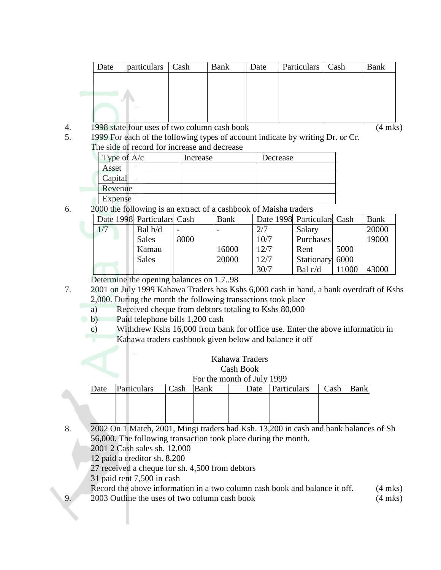| Date | particulars Cash | Bank | Date | Particulars   Cash | Bank |
|------|------------------|------|------|--------------------|------|
|      |                  |      |      |                    |      |
|      |                  |      |      |                    |      |
|      |                  |      |      |                    |      |
|      |                  |      |      |                    |      |
|      |                  |      |      |                    |      |

4. 1998 state four uses of two column cash book (4 mks)

5. 1999 For each of the following types of account indicate by writing Dr. or Cr. The side of record for increase and decrease

| Type of $A/c$ | Increase | Decrease |
|---------------|----------|----------|
| ю<br>Asset    |          |          |
| Capital       |          |          |
| Revenue       |          |          |
| Expense       |          |          |

6. 2000 the following is an extract of a cashbook of Maisha traders

|     | Date 1998 Particulars Cash |      | <b>Bank</b> |      | Date 1998 Particulars Cash |       | Bank  |
|-----|----------------------------|------|-------------|------|----------------------------|-------|-------|
| 1/7 | Bal b/d                    |      |             | 2/7  | Salary                     |       | 20000 |
|     | <b>Sales</b>               | 8000 |             | 10/7 | Purchases                  |       | 19000 |
|     | Kamau                      |      | 16000       | 12/7 | Rent                       | 5000  |       |
|     | <b>Sales</b>               |      | 20000       | 12/7 | Stationary 6000            |       |       |
|     |                            |      |             | 30/7 | Bal $c/d$                  | 11000 | 43000 |

Determine the opening balances on 1.7..98

- 7. 2001 on July 1999 Kahawa Traders has Kshs 6,000 cash in hand, a bank overdraft of Kshs 2,000. During the month the following transactions took place
	- a) Received cheque from debtors totaling to Kshs 80,000
	- b) Paid telephone bills 1,200 cash
		- c) Withdrew Kshs 16,000 from bank for office use. Enter the above information in Kahawa traders cashbook given below and balance it off

| Kahawa Traders |  |
|----------------|--|
| Cash Book      |  |

# For the month of July 1999

| Cash | Bank        | Date | Cash        | <b>Bank</b> |
|------|-------------|------|-------------|-------------|
|      |             |      |             |             |
|      |             |      |             |             |
|      |             |      |             |             |
| Date | Particulars |      | Particulars |             |

8. 2002 On 1 Match, 2001, Mingi traders had Ksh. 13,200 in cash and bank balances of Sh 56,000. The following transaction took place during the month.

2001 2 Cash sales sh. 12,000

12 paid a creditor sh. 8,200

27 received a cheque for sh. 4,500 from debtors

31 paid rent 7,500 in cash

Record the above information in a two column cash book and balance it off. (4 mks) 9. 2003 Outline the uses of two column cash book (4 mks)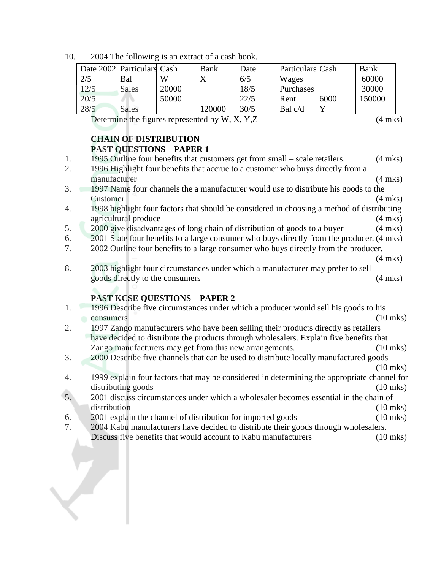10. 2004 The following is an extract of a cash book.

|      | Date 2002 Particulars Cash |       | Bank   | Date | Particulars Cash |      | Bank   |
|------|----------------------------|-------|--------|------|------------------|------|--------|
| 2/5  | Bal                        | W     |        | 6/5  | Wages            |      | 60000  |
| 12/5 | <b>Sales</b>               | 20000 |        | 18/5 | Purchases        |      | 30000  |
| 20/5 |                            | 50000 |        | 22/5 | Rent             | 6000 | 150000 |
| 28/5 | <b>Sales</b>               |       | 120000 | 30/5 | Bal $c/d$        |      |        |

Determine the figures represented by  $W, X, Y, Z$  (4 mks)

# **CHAIN OF DISTRIBUTION PAST QUESTIONS – PAPER 1**

- 1. 1995 Outline four benefits that customers get from small scale retailers. (4 mks)
- 2. 1996 Highlight four benefits that accrue to a customer who buys directly from a manufacturer (4 mks)
- 3. 1997 Name four channels the a manufacturer would use to distribute his goods to the Customer (4 mks)
- 4. 1998 highlight four factors that should be considered in choosing a method of distributing agricultural produce (4 mks)
- 5. 2000 give disadvantages of long chain of distribution of goods to a buyer (4 mks)
- 6. 2001 State four benefits to a large consumer who buys directly from the producer. (4 mks)
- 7. 2002 Outline four benefits to a large consumer who buys directly from the producer.

(4 mks)

8. 2003 highlight four circumstances under which a manufacturer may prefer to sell goods directly to the consumers (4 mks)

# **PAST KCSE QUESTIONS – PAPER 2**

- 1. 1996 Describe five circumstances under which a producer would sell his goods to his consumers (10 mks) 2. 1997 Zango manufacturers who have been selling their products directly as retailers
- have decided to distribute the products through wholesalers. Explain five benefits that Zango manufacturers may get from this new arrangements. (10 mks)
- 3. 2000 Describe five channels that can be used to distribute locally manufactured goods

(10 mks)

- 4. 1999 explain four factors that may be considered in determining the appropriate channel for distributing goods (10 mks)
- 5. 2001 discuss circumstances under which a wholesaler becomes essential in the chain of distribution (10 mks)
- 6. 2001 explain the channel of distribution for imported goods (10 mks)
- 7. 2004 Kabu manufacturers have decided to distribute their goods through wholesalers. Discuss five benefits that would account to Kabu manufacturers (10 mks)

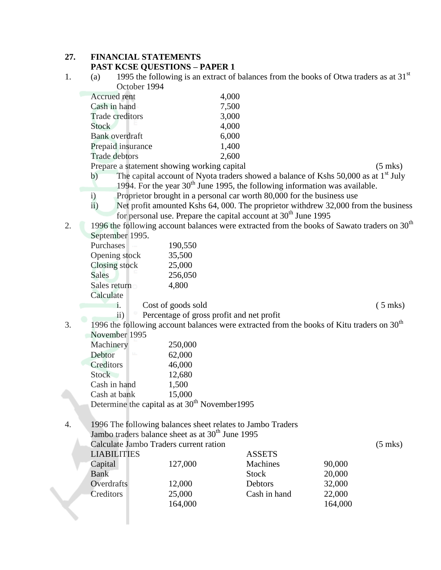#### **27. FINANCIAL STATEMENTS PAST KCSE QUESTIONS – PAPER 1**

1. (a) 1995 the following is an extract of balances from the books of Otwa traders as at  $31<sup>st</sup>$ October 1994

| 4,000 |
|-------|
| 7,500 |
| 3,000 |
| 4,000 |
| 6,000 |
| 1,400 |
| 2,600 |
|       |

Prepare a statement showing working capital (5 mks)

b) The capital account of Nyota traders showed a balance of Kshs 50,000 as at 1<sup>st</sup> July 1994. For the year  $30<sup>th</sup>$  June 1995, the following information was available.

- i) Proprietor brought in a personal car worth 80,000 for the business use
- ii) Net profit amounted Kshs 64, 000. The proprietor withdrew 32,000 from the business for personal use. Prepare the capital account at  $30<sup>th</sup>$  June 1995
- 2. 1996 the following account balances were extracted from the books of Sawato traders on 30<sup>th</sup> September 1995.

| $\mathcal{O}$ |                    |           |
|---------------|--------------------|-----------|
| Purchases     | 190,550            |           |
| Opening stock | 35,500             |           |
| Closing stock | 25,000             |           |
| Sales         | 256,050            |           |
| Sales return  | 4,800              |           |
| Calculate     |                    |           |
|               | Cost of goods sold | $(5$ mks) |
|               |                    |           |

- ii) Percentage of gross profit and net profit
- 3. 1996 the following account balances were extracted from the books of Kitu traders on  $30<sup>th</sup>$ November 1995

| Machinery     | 250,000                                                   |
|---------------|-----------------------------------------------------------|
| LL.<br>Debtor | 62,000                                                    |
| Creditors     | 46,000                                                    |
| <b>Stock</b>  | 12,680                                                    |
| Cash in hand  | 1,500                                                     |
| Cash at bank  | 15,000                                                    |
|               | Determine the capital as at 30 <sup>th</sup> November1995 |
|               |                                                           |

4. 1996 The following balances sheet relates to Jambo Traders Jambo traders balance sheet as at  $30<sup>th</sup>$  June 1995

|                    | <u>Jamo uagus balance sneet as at 50 ° June 1775.</u> |                |         |                   |
|--------------------|-------------------------------------------------------|----------------|---------|-------------------|
|                    | Calculate Jambo Traders current ration                |                |         | $(5 \text{ mks})$ |
| <b>LIABILITIES</b> |                                                       | <b>ASSETS</b>  |         |                   |
| Capital            | 127,000                                               | Machines       | 90,000  |                   |
| <b>Bank</b>        |                                                       | <b>Stock</b>   | 20,000  |                   |
| <b>Overdrafts</b>  | 12,000                                                | <b>Debtors</b> | 32,000  |                   |
| Creditors          | 25,000                                                | Cash in hand   | 22,000  |                   |
|                    | 164,000                                               |                | 164,000 |                   |
|                    |                                                       |                |         |                   |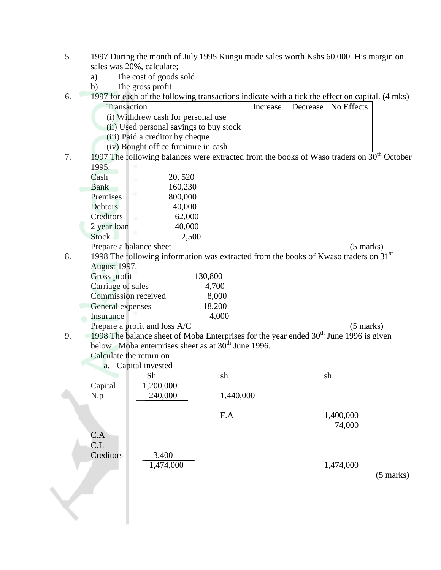- 5. 1997 During the month of July 1995 Kungu made sales worth Kshs.60,000. His margin on sales was 20%, calculate;
	- a) The cost of goods sold
	- b) The gross profit
- 6. 1997 for each of the following transactions indicate with a tick the effect on capital. (4 mks)

|    | Transaction         |                                                                                                   |           | Increase | Decrease | No Effects          |                     |
|----|---------------------|---------------------------------------------------------------------------------------------------|-----------|----------|----------|---------------------|---------------------|
|    |                     | (i) Withdrew cash for personal use                                                                |           |          |          |                     |                     |
|    |                     | (ii) Used personal savings to buy stock                                                           |           |          |          |                     |                     |
|    |                     | (iii) Paid a creditor by cheque                                                                   |           |          |          |                     |                     |
|    |                     | (iv) Bought office furniture in cash                                                              |           |          |          |                     |                     |
| 7. |                     | 1997 The following balances were extracted from the books of Waso traders on $30th$ October       |           |          |          |                     |                     |
|    | 1995.               |                                                                                                   |           |          |          |                     |                     |
|    | Cash                | 20, 520<br>$\circ$                                                                                |           |          |          |                     |                     |
|    | <b>Bank</b>         | 160,230                                                                                           |           |          |          |                     |                     |
|    | Premises            | <b>d</b><br>800,000                                                                               |           |          |          |                     |                     |
|    | <b>Debtors</b>      | 40,000                                                                                            |           |          |          |                     |                     |
|    | Creditors           | 62,000<br>$\alpha$                                                                                |           |          |          |                     |                     |
|    | 2 year loan         | 40,000                                                                                            |           |          |          |                     |                     |
|    | Stock               |                                                                                                   | 2,500     |          |          |                     |                     |
|    |                     | Prepare a balance sheet                                                                           |           |          |          | $(5 \text{ marks})$ |                     |
| 8. |                     | 1998 The following information was extracted from the books of Kwaso traders on 31 <sup>st</sup>  |           |          |          |                     |                     |
|    | <b>August 1997.</b> |                                                                                                   |           |          |          |                     |                     |
|    | Gross profit        |                                                                                                   | 130,800   |          |          |                     |                     |
|    | Carriage of sales   |                                                                                                   | 4,700     |          |          |                     |                     |
|    | Commission received |                                                                                                   | 8,000     |          |          |                     |                     |
|    | General expenses    |                                                                                                   | 18,200    |          |          |                     |                     |
|    | Insurance           |                                                                                                   | 4,000     |          |          |                     |                     |
|    |                     | Prepare a profit and loss A/C                                                                     |           |          |          | $(5 \text{ marks})$ |                     |
| 9. |                     | 1998 The balance sheet of Moba Enterprises for the year ended 30 <sup>th</sup> June 1996 is given |           |          |          |                     |                     |
|    |                     | below. Moba enterprises sheet as at 30 <sup>th</sup> June 1996.                                   |           |          |          |                     |                     |
|    |                     | Calculate the return on                                                                           |           |          |          |                     |                     |
|    |                     | a. Capital invested                                                                               |           |          |          |                     |                     |
|    |                     | Sh                                                                                                | sh        |          |          | sh                  |                     |
|    | Capital             | 1,200,000                                                                                         |           |          |          |                     |                     |
|    | N.p                 | 240,000                                                                                           | 1,440,000 |          |          |                     |                     |
|    |                     |                                                                                                   | F.A       |          |          | 1,400,000           |                     |
|    |                     |                                                                                                   |           |          |          | 74,000              |                     |
|    | C.A                 |                                                                                                   |           |          |          |                     |                     |
|    | CL                  |                                                                                                   |           |          |          |                     |                     |
|    | Creditors           | 3,400                                                                                             |           |          |          |                     |                     |
|    |                     | 1,474,000                                                                                         |           |          |          | 1,474,000           |                     |
|    |                     |                                                                                                   |           |          |          |                     | $(5 \text{ marks})$ |
|    |                     |                                                                                                   |           |          |          |                     |                     |
|    |                     |                                                                                                   |           |          |          |                     |                     |
|    |                     |                                                                                                   |           |          |          |                     |                     |
|    |                     |                                                                                                   |           |          |          |                     |                     |
|    |                     |                                                                                                   |           |          |          |                     |                     |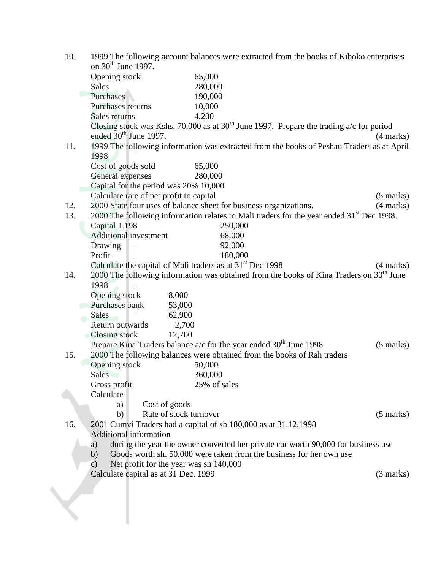| 10. | 1999 The following account balances were extracted from the books of Kiboko enterprises              |                     |
|-----|------------------------------------------------------------------------------------------------------|---------------------|
|     | on $30th$ June 1997.                                                                                 |                     |
|     | Opening stock<br>65,000                                                                              |                     |
|     | 280,000<br><b>Sales</b>                                                                              |                     |
|     | Purchases<br>190,000                                                                                 |                     |
|     | Purchases returns<br>10,000                                                                          |                     |
|     | 4,200<br>Sales returns                                                                               |                     |
|     | Closing stock was Kshs. 70,000 as at $30th$ June 1997. Prepare the trading a/c for period            |                     |
|     | ended 30 <sup>th</sup> June 1997.                                                                    | $(4 \text{ marks})$ |
| 11. | 1999 The following information was extracted from the books of Peshau Traders as at April            |                     |
|     | 1998                                                                                                 |                     |
|     | Cost of goods sold<br>65,000                                                                         |                     |
|     | General expenses<br>280,000                                                                          |                     |
|     | Capital for the period was 20% 10,000                                                                |                     |
|     | Calculate rate of net profit to capital                                                              | $(5 \text{ marks})$ |
| 12. | 2000 State four uses of balance sheet for business organizations.                                    | (4 marks)           |
| 13. | 2000 The following information relates to Mali traders for the year ended 31 <sup>st</sup> Dec 1998. |                     |
|     | Capital 1.198<br>250,000                                                                             |                     |
|     | <b>Additional investment</b><br>68,000                                                               |                     |
|     | 92,000<br>Drawing                                                                                    |                     |
|     | Profit<br>180,000                                                                                    |                     |
|     | Calculate the capital of Mali traders as at 31 <sup>st</sup> Dec 1998                                | $(4 \text{ marks})$ |
| 14. | 2000 The following information was obtained from the books of Kina Traders on 30 <sup>th</sup> June  |                     |
|     | 1998                                                                                                 |                     |
|     | 8,000<br>Opening stock                                                                               |                     |
|     | Purchases bank<br>53,000                                                                             |                     |
|     | 62,900<br><b>Sales</b>                                                                               |                     |
|     | Return outwards<br>2,700                                                                             |                     |
|     | Closing stock<br>12,700                                                                              |                     |
|     | Prepare Kina Traders balance $a/c$ for the year ended $30th$ June 1998                               | $(5 \text{ marks})$ |
| 15. | 2000 The following balances were obtained from the books of Rah traders                              |                     |
|     | Opening stock<br>50,000                                                                              |                     |
|     | 360,000<br><b>Sales</b>                                                                              |                     |
|     | 25% of sales<br>Gross profit                                                                         |                     |
|     | Calculate                                                                                            |                     |
|     | Cost of goods<br>a)                                                                                  |                     |
|     | Rate of stock turnover<br>b)                                                                         | $(5 \text{ marks})$ |
| 16. | 2001 Cumvi Traders had a capital of sh 180,000 as at 31.12.1998                                      |                     |
|     | <b>Additional information</b>                                                                        |                     |
|     | during the year the owner converted her private car worth 90,000 for business use<br>a)              |                     |
|     | Goods worth sh. 50,000 were taken from the business for her own use<br>b)                            |                     |
|     | Net profit for the year was sh 140,000<br>$\mathbf{c})$                                              |                     |
|     | Calculate capital as at 31 Dec. 1999                                                                 | (3 marks)           |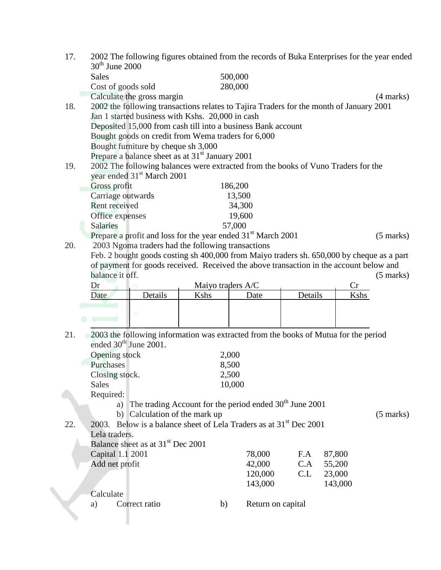| 17. | $30th$ June 2000                  |                                                             |                   | 2002 The following figures obtained from the records of Buka Enterprises for the year ended |         |         |                     |
|-----|-----------------------------------|-------------------------------------------------------------|-------------------|---------------------------------------------------------------------------------------------|---------|---------|---------------------|
|     | <b>Sales</b>                      |                                                             |                   | 500,000                                                                                     |         |         |                     |
|     | Cost of goods sold                |                                                             |                   | 280,000                                                                                     |         |         |                     |
|     |                                   | Calculate the gross margin                                  |                   |                                                                                             |         |         |                     |
| 18. |                                   |                                                             |                   | 2002 the following transactions relates to Tajira Traders for the month of January 2001     |         |         | $(4 \text{ marks})$ |
|     |                                   | Jan 1 started business with Kshs. 20,000 in cash            |                   |                                                                                             |         |         |                     |
|     |                                   |                                                             |                   |                                                                                             |         |         |                     |
|     |                                   |                                                             |                   | Deposited 15,000 from cash till into a business Bank account                                |         |         |                     |
|     |                                   | Bought goods on credit from Wema traders for 6,000          |                   |                                                                                             |         |         |                     |
|     |                                   | Bought furniture by cheque sh 3,000                         |                   |                                                                                             |         |         |                     |
|     |                                   | Prepare a balance sheet as at 31 <sup>st</sup> January 2001 |                   |                                                                                             |         |         |                     |
| 19. |                                   |                                                             |                   | 2002 The following balances were extracted from the books of Vuno Traders for the           |         |         |                     |
|     |                                   | year ended 31 <sup>st</sup> March 2001                      |                   |                                                                                             |         |         |                     |
|     | Gross profit                      |                                                             |                   | 186,200                                                                                     |         |         |                     |
|     | Carriage outwards                 |                                                             |                   | 13,500                                                                                      |         |         |                     |
|     | Rent received                     |                                                             |                   | 34,300                                                                                      |         |         |                     |
|     | Office expenses                   |                                                             |                   | 19,600                                                                                      |         |         |                     |
|     | Salaries                          |                                                             |                   | 57,000                                                                                      |         |         |                     |
|     |                                   |                                                             |                   | Prepare a profit and loss for the year ended 31 <sup>st</sup> March 2001                    |         |         | $(5 \text{ marks})$ |
| 20. |                                   | 2003 Ngoma traders had the following transactions           |                   |                                                                                             |         |         |                     |
|     |                                   |                                                             |                   | Feb. 2 bought goods costing sh 400,000 from Maiyo traders sh. 650,000 by cheque as a part   |         |         |                     |
|     |                                   |                                                             |                   | of payment for goods received. Received the above transaction in the account below and      |         |         |                     |
|     | balance it off.                   |                                                             |                   |                                                                                             |         |         | $(5 \text{ marks})$ |
|     | Dr                                |                                                             | Maiyo traders A/C |                                                                                             |         | Cr      |                     |
|     | Date                              | Details                                                     | Kshs              | Date                                                                                        | Details | Kshs    |                     |
|     |                                   |                                                             |                   |                                                                                             |         |         |                     |
|     |                                   |                                                             |                   |                                                                                             |         |         |                     |
|     |                                   |                                                             |                   |                                                                                             |         |         |                     |
| 21. |                                   |                                                             |                   | 2003 the following information was extracted from the books of Mutua for the period         |         |         |                     |
|     | ended 30 <sup>th</sup> June 2001. |                                                             |                   |                                                                                             |         |         |                     |
|     | Opening stock                     |                                                             |                   | 2,000                                                                                       |         |         |                     |
|     | Purchases                         |                                                             |                   | 8,500                                                                                       |         |         |                     |
|     | Closing stock.                    |                                                             |                   | 2,500                                                                                       |         |         |                     |
|     | <b>Sales</b>                      |                                                             |                   | 10,000                                                                                      |         |         |                     |
|     | Required:                         |                                                             |                   |                                                                                             |         |         |                     |
|     | a)                                |                                                             |                   | The trading Account for the period ended $30th$ June 2001                                   |         |         |                     |
|     |                                   | b) Calculation of the mark up                               |                   |                                                                                             |         |         | $(5 \text{ marks})$ |
| 22. |                                   |                                                             |                   | 2003. Below is a balance sheet of Lela Traders as at 31 <sup>st</sup> Dec 2001              |         |         |                     |
|     | Lela traders.                     | Balance sheet as at 31 <sup>st</sup> Dec 2001               |                   |                                                                                             |         |         |                     |
|     |                                   |                                                             |                   | 78,000                                                                                      | F.A     | 87,800  |                     |
|     | Capital 1.1 2001                  |                                                             |                   | 42,000                                                                                      | C.A     |         |                     |
|     | Add net profit                    |                                                             |                   |                                                                                             |         | 55,200  |                     |
|     |                                   |                                                             |                   | 120,000                                                                                     | C.L     | 23,000  |                     |
|     | Calculate                         |                                                             |                   | 143,000                                                                                     |         | 143,000 |                     |
|     | a)                                | Correct ratio                                               |                   |                                                                                             |         |         |                     |
|     |                                   |                                                             | b)                | Return on capital                                                                           |         |         |                     |
|     |                                   |                                                             |                   |                                                                                             |         |         |                     |
|     |                                   |                                                             |                   |                                                                                             |         |         |                     |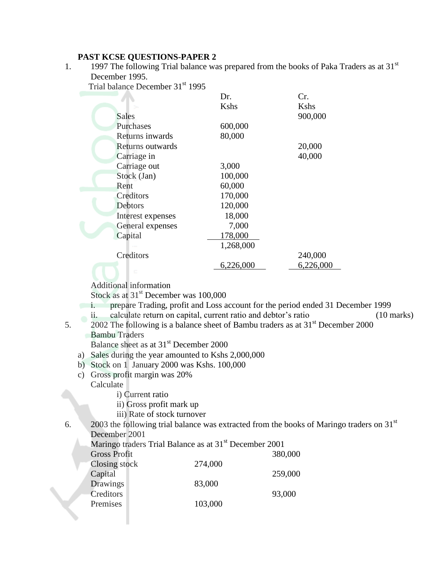### **PAST KCSE QUESTIONS-PAPER 2**

1. 1997 The following Trial balance was prepared from the books of Paka Traders as at  $31<sup>st</sup>$ December 1995.

Trial balance December 31st 1995

|                   | Dr.       | Cr.       |
|-------------------|-----------|-----------|
|                   | Kshs      | Kshs      |
| Sales             |           | 900,000   |
| Purchases         | 600,000   |           |
| Returns inwards   | 80,000    |           |
| Returns outwards  |           | 20,000    |
| Carriage in       |           | 40,000    |
| Carriage out      | 3,000     |           |
| Stock (Jan)       | 100,000   |           |
| Rent              | 60,000    |           |
| Creditors         | 170,000   |           |
| Debtors           | 120,000   |           |
| Interest expenses | 18,000    |           |
| General expenses  | 7,000     |           |
| Capital           | 178,000   |           |
|                   | 1,268,000 |           |
| Creditors         |           | 240,000   |
|                   | 6,226,000 | 6,226,000 |
|                   |           |           |

Additional information

Stock as at  $31<sup>st</sup>$  December was 100,000

- i. prepare Trading, profit and Loss account for the period ended 31 December 1999
	- ii. calculate return on capital, current ratio and debtor's ratio (10 marks)
- 5. 2002 The following is a balance sheet of Bambu traders as at 31st December 2000 Bambu Traders

Balance sheet as at 31<sup>st</sup> December 2000

- a) Sales during the year amounted to Kshs 2,000,000
- b) Stock on 1 January 2000 was Kshs. 100,000
- c) Gross profit margin was 20% Calculate
	- - i) Current ratio
		- ii) Gross profit mark up
		- iii) Rate of stock turnover

6. 2003 the following trial balance was extracted from the books of Maringo traders on 31 $^{\rm st}$ December 2001

Maringo traders Trial Balance as at 31<sup>st</sup> December 2001

| <b>Gross Profit</b> |         | 380,000 |
|---------------------|---------|---------|
| Closing stock       | 274,000 |         |
| Capital             |         | 259,000 |
| Drawings            | 83,000  |         |
| Creditors           |         | 93,000  |
| Premises            | 103,000 |         |
|                     |         |         |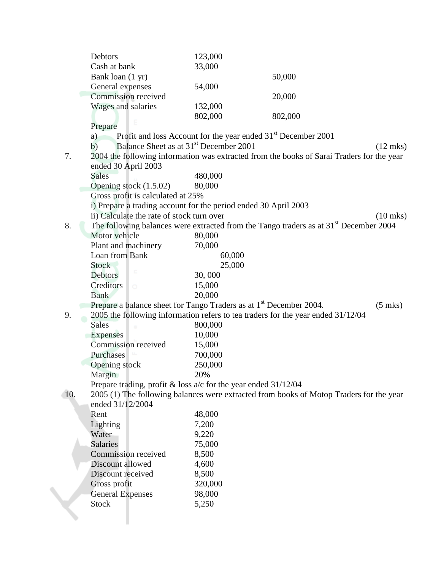|     | Debtors                                                                        | 123,000                                                                   |                                                                                                   |                    |
|-----|--------------------------------------------------------------------------------|---------------------------------------------------------------------------|---------------------------------------------------------------------------------------------------|--------------------|
|     | Cash at bank                                                                   | 33,000                                                                    |                                                                                                   |                    |
|     | Bank loan (1 yr)                                                               |                                                                           | 50,000                                                                                            |                    |
|     | General expenses                                                               | 54,000                                                                    |                                                                                                   |                    |
|     | Commission received                                                            |                                                                           | 20,000                                                                                            |                    |
|     | Wages and salaries                                                             | 132,000                                                                   |                                                                                                   |                    |
|     |                                                                                | 802,000                                                                   | 802,000                                                                                           |                    |
|     | Prepare                                                                        |                                                                           |                                                                                                   |                    |
|     | a)                                                                             | Profit and loss Account for the year ended 31 <sup>st</sup> December 2001 |                                                                                                   |                    |
|     | Balance Sheet as at 31 <sup>st</sup> December 2001<br>b)                       |                                                                           |                                                                                                   | $(12 \text{ mks})$ |
| 7.  |                                                                                |                                                                           | 2004 the following information was extracted from the books of Sarai Traders for the year         |                    |
|     | ended 30 April 2003                                                            |                                                                           |                                                                                                   |                    |
|     | <b>Sales</b>                                                                   | 480,000                                                                   |                                                                                                   |                    |
|     | Opening stock $(1.5.02)$                                                       | 80,000                                                                    |                                                                                                   |                    |
|     | Gross profit is calculated at 25%                                              |                                                                           |                                                                                                   |                    |
|     | i) Prepare a trading account for the period ended 30 April 2003                |                                                                           |                                                                                                   |                    |
|     | ii) Calculate the rate of stock turn over                                      |                                                                           |                                                                                                   | $(10 \text{ mks})$ |
| 8.  |                                                                                |                                                                           | The following balances were extracted from the Tango traders as at 31 <sup>st</sup> December 2004 |                    |
|     | Motor vehicle                                                                  | 80,000                                                                    |                                                                                                   |                    |
|     | Plant and machinery                                                            | 70,000                                                                    |                                                                                                   |                    |
|     | Loan from Bank                                                                 | 60,000                                                                    |                                                                                                   |                    |
|     | <b>Stock</b>                                                                   | 25,000                                                                    |                                                                                                   |                    |
|     | <b>Debtors</b>                                                                 | 30,000                                                                    |                                                                                                   |                    |
|     | Creditors<br>$\circ$                                                           | 15,000                                                                    |                                                                                                   |                    |
|     | <b>Bank</b>                                                                    | 20,000                                                                    |                                                                                                   |                    |
|     | Prepare a balance sheet for Tango Traders as at 1 <sup>st</sup> December 2004. |                                                                           |                                                                                                   | $(5$ mks)          |
| 9.  |                                                                                |                                                                           | 2005 the following information refers to tea traders for the year ended 31/12/04                  |                    |
|     | <b>Sales</b><br>O.                                                             | 800,000                                                                   |                                                                                                   |                    |
|     | <b>Expenses</b>                                                                | 10,000                                                                    |                                                                                                   |                    |
|     | Commission received                                                            | 15,000                                                                    |                                                                                                   |                    |
|     | Purchases                                                                      | 700,000                                                                   |                                                                                                   |                    |
|     | Opening stock                                                                  | 250,000                                                                   |                                                                                                   |                    |
|     | Margin                                                                         | 20%                                                                       |                                                                                                   |                    |
|     | Prepare trading, profit & loss $a/c$ for the year ended $31/12/04$             |                                                                           |                                                                                                   |                    |
| 10. |                                                                                |                                                                           | 2005 (1) The following balances were extracted from books of Motop Traders for the year           |                    |
|     | ended 31/12/2004                                                               |                                                                           |                                                                                                   |                    |
|     | Rent                                                                           | 48,000                                                                    |                                                                                                   |                    |
|     | Lighting                                                                       | 7,200                                                                     |                                                                                                   |                    |
|     | Water                                                                          | 9,220                                                                     |                                                                                                   |                    |
|     | <b>Salaries</b>                                                                | 75,000                                                                    |                                                                                                   |                    |
|     | Commission received                                                            | 8,500                                                                     |                                                                                                   |                    |
|     | Discount allowed                                                               | 4,600                                                                     |                                                                                                   |                    |
|     | Discount received                                                              | 8,500                                                                     |                                                                                                   |                    |
|     | Gross profit                                                                   | 320,000<br>98,000                                                         |                                                                                                   |                    |
|     | <b>General Expenses</b><br><b>Stock</b>                                        | 5,250                                                                     |                                                                                                   |                    |
|     |                                                                                |                                                                           |                                                                                                   |                    |
|     |                                                                                |                                                                           |                                                                                                   |                    |
|     |                                                                                |                                                                           |                                                                                                   |                    |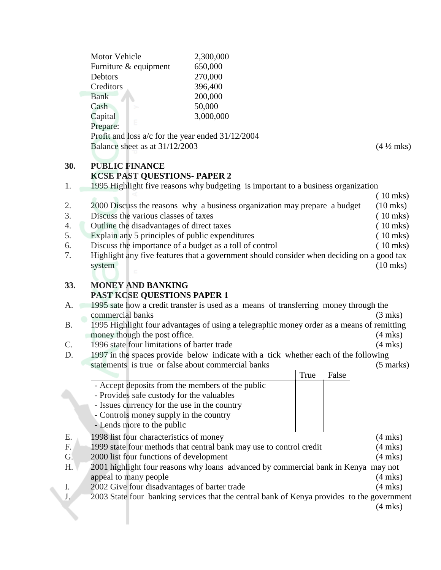|                                  | Motor Vehicle<br>Furniture & equipment<br>Debtors<br>Creditors<br><b>Bank</b><br>Cash<br>Capital<br>Prepare:                                                                                                          | 2,300,000<br>650,000<br>270,000<br>396,400<br>200,000<br>50,000<br>3,000,000                                                                                                     |      |       |                                                                                                |
|----------------------------------|-----------------------------------------------------------------------------------------------------------------------------------------------------------------------------------------------------------------------|----------------------------------------------------------------------------------------------------------------------------------------------------------------------------------|------|-------|------------------------------------------------------------------------------------------------|
|                                  | Profit and loss $a/c$ for the year ended $31/12/2004$<br>Balance sheet as at 31/12/2003                                                                                                                               |                                                                                                                                                                                  |      |       | $(4\frac{1}{2}$ mks)                                                                           |
| 30.<br>1.                        | <b>PUBLIC FINANCE</b><br><b>KCSE PAST QUESTIONS- PAPER 2</b>                                                                                                                                                          | 1995 Highlight five reasons why budgeting is important to a business organization                                                                                                |      |       |                                                                                                |
| 2.<br>3.<br>4.<br>5.<br>6.<br>7. | Discuss the various classes of taxes<br>Outline the disadvantages of direct taxes<br>Explain any 5 principles of public expenditures<br>Discuss the importance of a budget as a toll of control<br>system             | 2000 Discuss the reasons why a business organization may prepare a budget<br>Highlight any five features that a government should consider when deciding on a good tax           |      |       | $(10$ mks)<br>$(10$ mks)<br>$(10$ mks)<br>$(10$ mks)<br>$(10$ mks)<br>$(10$ mks)<br>$(10$ mks) |
| 33.<br>A.                        | <b>MONEY AND BANKING</b><br><b>PAST KCSE QUESTIONS PAPER 1</b><br>commercial banks                                                                                                                                    | 1995 sate how a credit transfer is used as a means of transferring money through the                                                                                             |      |       | $(3$ mks)                                                                                      |
| <b>B.</b><br>C.<br>D.            | money though the post office.<br>1996 state four limitations of barter trade<br>statements is true or false about commercial banks                                                                                    | 1995 Highlight four advantages of using a telegraphic money order as a means of remitting<br>1997 in the spaces provide below indicate with a tick whether each of the following |      |       | $(4$ mks)<br>$(4$ mks)<br>$(5 \text{ marks})$                                                  |
|                                  | - Accept deposits from the members of the public<br>- Provides safe custody for the valuables<br>- Issues currency for the use in the country<br>- Controls money supply in the country<br>- Lends more to the public |                                                                                                                                                                                  | True | False |                                                                                                |
| Ε.<br>F.<br>G.<br>Η.             | 1998 list four characteristics of money<br>2000 list four functions of development<br>appeal to many people                                                                                                           | 1999 state four methods that central bank may use to control credit<br>2001 highlight four reasons why loans advanced by commercial bank in Kenya may not                        |      |       | $(4$ mks)<br>$(4$ mks)<br>$(4$ mks)<br>$(4$ mks)                                               |
| Ι.<br>J.                         | 2002 Give four disadvantages of barter trade                                                                                                                                                                          | 2003 State four banking services that the central bank of Kenya provides to the government                                                                                       |      |       | $(4$ mks $)$<br>$(4$ mks)                                                                      |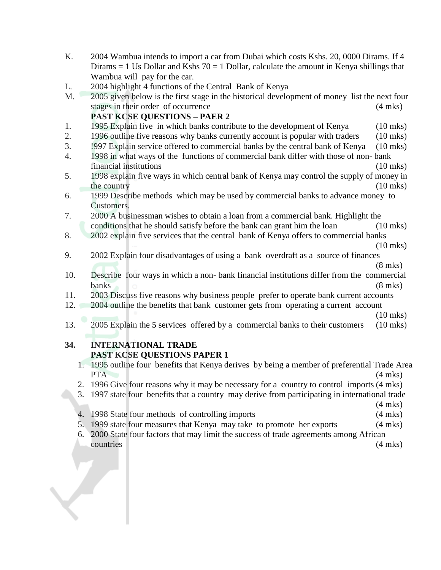- K. 2004 Wambua intends to import a car from Dubai which costs Kshs. 20, 0000 Dirams. If 4 Dirams  $= 1$  Us Dollar and Kshs  $70 = 1$  Dollar, calculate the amount in Kenya shillings that Wambua will pay for the car.
- L. 2004 highlight 4 functions of the Central Bank of Kenya
- M. 2005 given below is the first stage in the historical development of money list the next four stages in their order of occurrence (4 mks)

### **PAST KCSE QUESTIONS – PAER 2**

- 1. 1995 Explain five in which banks contribute to the development of Kenya (10 mks)
- 2. 1996 outline five reasons why banks currently account is popular with traders (10 mks)
- 3. !997 Explain service offered to commercial banks by the central bank of Kenya (10 mks)
- 4. 1998 in what ways of the functions of commercial bank differ with those of non- bank financial institutions (10 mks)
- 5. 1998 explain five ways in which central bank of Kenya may control the supply of money in the country (10 mks)
- 6. 1999 Describe methods which may be used by commercial banks to advance money to Customers.
- 7. 2000 A businessman wishes to obtain a loan from a commercial bank. Highlight the conditions that he should satisfy before the bank can grant him the loan (10 mks)
- 8. 2002 explain five services that the central bank of Kenya offers to commercial banks (10 mks)
- 9. 2002 Explain four disadvantages of using a bank overdraft as a source of finances
- (8 mks) 10. Describe four ways in which a non- bank financial institutions differ from the commercial banks (8 mks)
- 11. 2003 Discuss five reasons why business people prefer to operate bank current accounts
- 12. 2004 outline the benefits that bank customer gets from operating a current account
- (10 mks) 13. 2005 Explain the 5 services offered by a commercial banks to their customers (10 mks)

### **34. INTERNATIONAL TRADE PAST KCSE QUESTIONS PAPER 1**

- 1. 1995 outline four benefits that Kenya derives by being a member of preferential Trade Area PTA (4 mks)
- 2. 1996 Give four reasons why it may be necessary for a country to control imports (4 mks)
- 3. 1997 state four benefits that a country may derive from participating in international trade
	- (4 mks)
- 4. 1998 State four methods of controlling imports (4 mks)
- 5. 1999 state four measures that Kenya may take to promote her exports (4 mks)
- 6. 2000 State four factors that may limit the success of trade agreements among African countries (4 mks)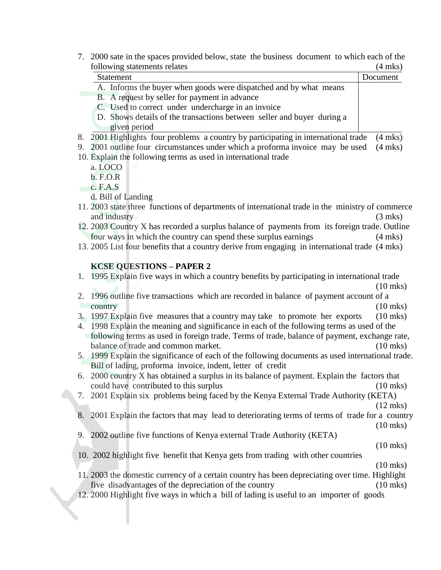7. 2000 sate in the spaces provided below, state the business document to which each of the following statements relates (4 mks)

| $\frac{1}{2}$ of $\frac{1}{2}$ statements related                                                | $\left($ . Thus $\left($ |
|--------------------------------------------------------------------------------------------------|--------------------------|
| <b>Statement</b>                                                                                 | Document                 |
| A. Informs the buyer when goods were dispatched and by what means                                |                          |
| B. A request by seller for payment in advance                                                    |                          |
| C. Used to correct under undercharge in an invoice                                               |                          |
| D. Shows details of the transactions between seller and buyer during a                           |                          |
| given period                                                                                     |                          |
| 2001 Highlights four problems a country by participating in international trade<br>8.            | $(4$ mks)                |
| 2001 outline four circumstances under which a proforma invoice may be used<br>9.                 | $(4$ mks)                |
| 10. Explain the following terms as used in international trade                                   |                          |
| a. LOCO                                                                                          |                          |
| b. F.O.R                                                                                         |                          |
| c. F.A.S                                                                                         |                          |
| d. Bill of Landing                                                                               |                          |
| 11. 2003 state three functions of departments of international trade in the ministry of commerce |                          |
| and industry                                                                                     | $(3 \text{ mks})$        |
| 12. 2003 Country X has recorded a surplus balance of payments from its foreign trade. Outline    |                          |
| four ways in which the country can spend these surplus earnings                                  | $(4$ mks)                |
| 13. 2005 List four benefits that a country derive from engaging in international trade (4 mks)   |                          |

#### **KCSE QUESTIONS – PAPER 2**

- 1. 1995 Explain five ways in which a country benefits by participating in international trade (10 mks) 2. 1996 outline five transactions which are recorded in balance of payment account of a country (10 mks)
- 3. 1997 Explain five measures that a country may take to promote her exports (10 mks)
- 4. 1998 Explain the meaning and significance in each of the following terms as used of the following terms as used in foreign trade. Terms of trade, balance of payment, exchange rate, balance of trade and common market. (10 mks)
- 5. 1999 Explain the significance of each of the following documents as used international trade. Bill of lading, proforma invoice, indent, letter of credit
- 6. 2000 country X has obtained a surplus in its balance of payment. Explain the factors that could have contributed to this surplus (10 mks)
- 7. 2001 Explain six problems being faced by the Kenya External Trade Authority (KETA) (12 mks)
- 8. 2001 Explain the factors that may lead to deteriorating terms of terms of trade for a country (10 mks)
- 9. 2002 outline five functions of Kenya external Trade Authority (KETA)

(10 mks)

10. 2002 highlight five benefit that Kenya gets from trading with other countries

(10 mks)

- 11. 2003 the domestic currency of a certain country has been depreciating over time. Highlight five disadvantages of the depreciation of the country (10 mks)
- 12. 2000 Highlight five ways in which a bill of lading is useful to an importer of goods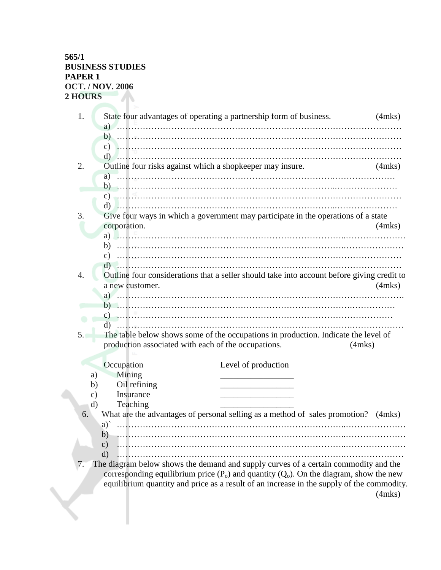| 1.                  | State four advantages of operating a partnership form of business.                                                                                                                       |              | $(4$ mks $)$ |
|---------------------|------------------------------------------------------------------------------------------------------------------------------------------------------------------------------------------|--------------|--------------|
|                     |                                                                                                                                                                                          |              |              |
|                     |                                                                                                                                                                                          |              |              |
| 2.                  | d)<br>Outline four risks against which a shopkeeper may insure.                                                                                                                          |              | (4mks)       |
|                     | a)                                                                                                                                                                                       |              |              |
|                     |                                                                                                                                                                                          |              |              |
|                     | c) and the commutation of the commutation of the commutation of the commutation of the commutation of the commutation of $\mathcal{C}$                                                   |              |              |
| 3.                  | Give four ways in which a government may participate in the operations of a state<br>corporation.                                                                                        |              | $(4$ mks $)$ |
|                     |                                                                                                                                                                                          |              |              |
|                     | b)<br>$\mathbf{c})$                                                                                                                                                                      |              |              |
|                     | d)                                                                                                                                                                                       |              |              |
| $\overline{4}$ .    | Outline four considerations that a seller should take into account before giving credit to<br>a new customer.                                                                            |              | $(4$ mks $)$ |
|                     |                                                                                                                                                                                          |              |              |
|                     |                                                                                                                                                                                          |              |              |
|                     |                                                                                                                                                                                          |              |              |
| 5.                  | The table below shows some of the occupations in production. Indicate the level of<br>production associated with each of the occupations.                                                | $(4$ mks $)$ |              |
|                     | Occupation<br>Level of production                                                                                                                                                        |              |              |
| a)                  | Mining                                                                                                                                                                                   |              |              |
| b)<br>$\mathbf{c})$ | Oil refining<br>Insurance                                                                                                                                                                |              |              |
| $\rm d$             | Teaching                                                                                                                                                                                 |              |              |
| 6.                  | What are the advantages of personal selling as a method of sales promotion? (4mks)                                                                                                       |              |              |
|                     | b)                                                                                                                                                                                       |              |              |
|                     | $\mathbf{c})$                                                                                                                                                                            |              |              |
| 7.                  | $\rm d$<br>The diagram below shows the demand and supply curves of a certain commodity and the                                                                                           |              |              |
|                     | corresponding equilibrium price $(P_0)$ and quantity $(Q_0)$ . On the diagram, show the new<br>equilibrium quantity and price as a result of an increase in the supply of the commodity. |              | $(4$ mks $)$ |
|                     |                                                                                                                                                                                          |              |              |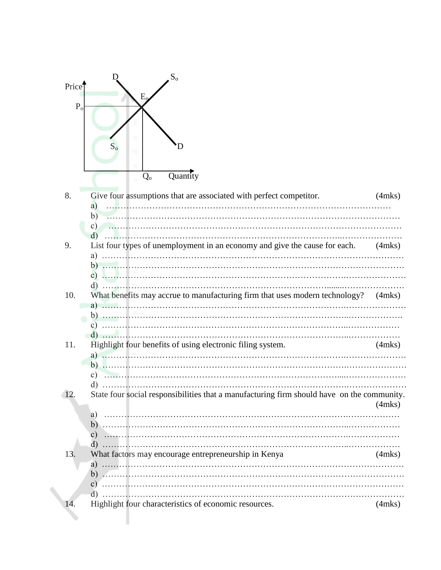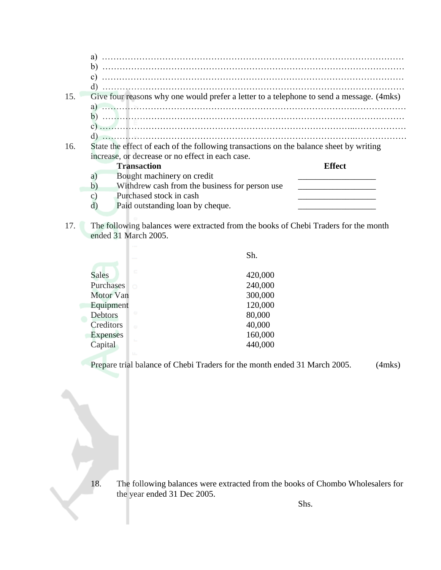|     | a)                                                                                       |               |
|-----|------------------------------------------------------------------------------------------|---------------|
|     | b)                                                                                       |               |
|     | $\mathbf{c}$                                                                             |               |
|     | d)                                                                                       |               |
| 15. | Give four reasons why one would prefer a letter to a telephone to send a message. (4mks) |               |
|     |                                                                                          |               |
|     | a)                                                                                       |               |
|     | b)                                                                                       |               |
|     |                                                                                          |               |
|     | d)                                                                                       |               |
| 16. | State the effect of each of the following transactions on the balance sheet by writing   |               |
|     | increase, or decrease or no effect in each case.                                         |               |
|     | <b>Transaction</b>                                                                       | <b>Effect</b> |
|     | Bought machinery on credit<br>$\mathbf{a}$                                               |               |
|     | b)<br>With drew cash from the business for person use                                    |               |
|     | Purchased stock in cash<br>$\mathbf{C}$                                                  |               |
|     | Paid outstanding loan by cheque.<br>ď                                                    |               |

17. The following balances were extracted from the books of Chebi Traders for the month ended 31 March 2005.

|                                               |        | Sh.                           |
|-----------------------------------------------|--------|-------------------------------|
| <b>Sales</b><br>Purchases<br><b>Motor Van</b> | c<br>Ó | 420,000<br>240,000<br>300,000 |
| Equipment<br>Debtors                          | ω      | 120,000<br>80,000             |
| Creditors                                     | Ō.     | 40,000                        |
| <b>Expenses</b><br>Capital                    | t.     | 160,000<br>440,000            |

Prepare trial balance of Chebi Traders for the month ended 31 March 2005. (4mks)

18. The following balances were extracted from the books of Chombo Wholesalers for the year ended 31 Dec 2005.

Shs.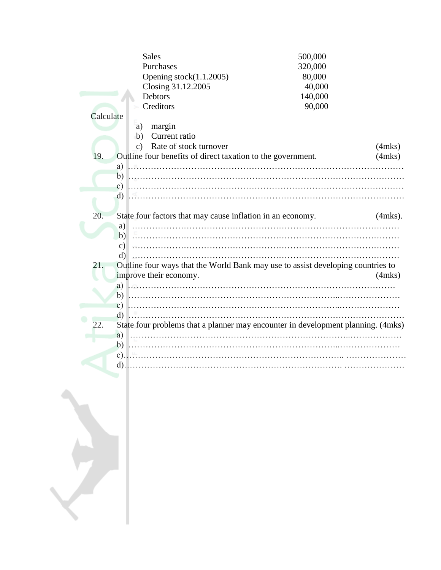| <b>Sales</b>                                                                           | 500,000 |              |
|----------------------------------------------------------------------------------------|---------|--------------|
| Purchases                                                                              | 320,000 |              |
| Opening stock(1.1.2005)                                                                | 80,000  |              |
| Closing 31.12.2005                                                                     | 40,000  |              |
| Debtors                                                                                | 140,000 |              |
| Creditors                                                                              | 90,000  |              |
| Calculate                                                                              |         |              |
| margin<br>a)                                                                           |         |              |
| Current ratio<br>$\mathbf{b}$                                                          |         |              |
| Rate of stock turnover<br>$\mathbf{c})$                                                |         | $(4$ mks $)$ |
| 19.<br>Outline four benefits of direct taxation to the government.                     |         | $(4$ mks $)$ |
|                                                                                        |         |              |
|                                                                                        |         |              |
| C)                                                                                     |         |              |
| $d)$                                                                                   |         |              |
|                                                                                        |         |              |
| 20.<br>State four factors that may cause inflation in an economy.                      |         | $(4$ mks).   |
|                                                                                        |         |              |
| a)                                                                                     |         |              |
|                                                                                        |         |              |
| $\vert c \rangle$                                                                      |         |              |
| $\rm d)$                                                                               |         |              |
| Outline four ways that the World Bank may use to assist developing countries to<br>21. |         |              |
| improve their economy.                                                                 |         | $(4$ mks $)$ |
|                                                                                        |         |              |
|                                                                                        |         |              |
|                                                                                        |         |              |
| d)                                                                                     |         |              |
| State four problems that a planner may encounter in development planning. (4mks)       |         |              |
| a)                                                                                     |         |              |
|                                                                                        |         |              |
|                                                                                        |         |              |
| $d$ ).                                                                                 |         |              |
|                                                                                        |         |              |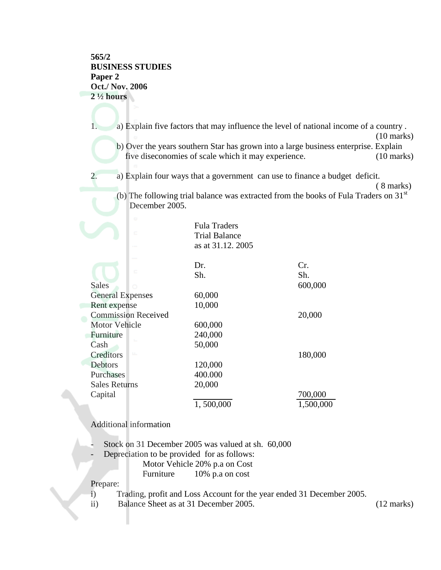### **565/2 BUSINESS STUDIES Paper 2 Oct./ Nov. 2006 2 ½ hours**

1. a) Explain five factors that may influence the level of national income of a country . (10 marks) b) Over the years southern Star has grown into a large business enterprise. Explain five diseconomies of scale which it may experience. (10 marks)

2. a) Explain four ways that a government can use to finance a budget deficit.

(b) The following trial balance was extracted from the books of Fula Traders on  $31<sup>st</sup>$ December 2005.

| ω<br>c                     | <b>Fula Traders</b><br><b>Trial Balance</b><br>as at 31.12. 2005 |           |
|----------------------------|------------------------------------------------------------------|-----------|
| $\blacksquare$             | Dr.                                                              | Cr.       |
|                            | Sh.                                                              | Sh.       |
| <b>Sales</b><br>Ö          |                                                                  | 600,000   |
| <b>General Expenses</b>    | 60,000                                                           |           |
| Rent expense               | 10,000                                                           |           |
| <b>Commission Received</b> |                                                                  | 20,000    |
| <b>Motor Vehicle</b>       | 600,000                                                          |           |
| Furniture                  | 240,000                                                          |           |
| Cash                       | 50,000                                                           |           |
| $1.1 -$<br>Creditors       |                                                                  | 180,000   |
| Debtors                    | 120,000                                                          |           |
| Purchases                  | 400.000                                                          |           |
| <b>Sales Returns</b>       | 20,000                                                           |           |
| Capital                    |                                                                  | 700,000   |
|                            | 1,500,000                                                        | 1,500,000 |

Additional information

- Stock on 31 December 2005 was valued at sh. 60,000

- Depreciation to be provided for as follows:

Motor Vehicle 20% p.a on Cost

Furniture 10% p.a on cost

Prepare:

i) Trading, profit and Loss Account for the year ended 31 December 2005.

ii) Balance Sheet as at 31 December 2005. (12 marks)

<sup>( 8</sup> marks)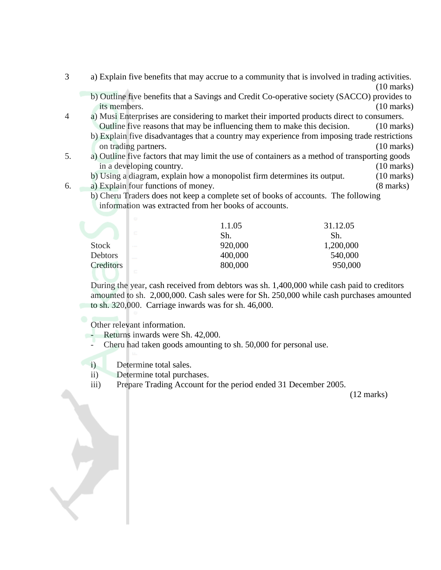- 3 a) Explain five benefits that may accrue to a community that is involved in trading activities. (10 marks)
	- b) Outline five benefits that a Savings and Credit Co-operative society (SACCO) provides to its members. (10 marks)
- 4 a) Musi Enterprises are considering to market their imported products direct to consumers. Outline five reasons that may be influencing them to make this decision. (10 marks)
	- b) Explain five disadvantages that a country may experience from imposing trade restrictions on trading partners. (10 marks)
- 5. a) Outline five factors that may limit the use of containers as a method of transporting goods in a developing country. (10 marks)
	- b) Using a diagram, explain how a monopolist firm determines its output. (10 marks)
- 6. a) Explain four functions of money. (8 marks)
	- b) Cheru Traders does not keep a complete set of books of accounts. The following information was extracted from her books of accounts.

| 1.1.05                  | 31.12.05  |
|-------------------------|-----------|
| $\Box$<br>Sh.           | Sh.       |
| 920,000<br><b>STATE</b> | 1,200,000 |
| 400,000                 | 540,000   |
| 800,000                 | 950,000   |
|                         |           |

During the year, cash received from debtors was sh. 1,400,000 while cash paid to creditors amounted to sh. 2,000,000. Cash sales were for Sh. 250,000 while cash purchases amounted to sh. 320,000. Carriage inwards was for sh. 46,000.

Other relevant information.

Returns inwards were Sh. 42,000.

Cheru had taken goods amounting to sh. 50,000 for personal use.

i) Determine total sales.

- ii) Determine total purchases.
- iii) Prepare Trading Account for the period ended 31 December 2005.

(12 marks)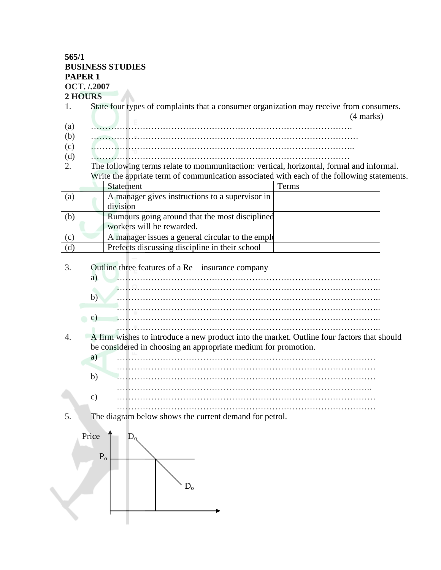### **565/1 BUSINESS STUDIES PAPER 1 OCT. /.2007**

#### **2 HOURS**

- 1. State four types of complaints that a consumer organization may receive from consumers.
- (4 marks) (a) ……………………………………………………………………………….
- (b) …………………………………………………………………………………
- (c) ………………………………………………………………………………..
- (d) ………………………………………………………………………………
- 2. The following terms relate to mommunitaction: vertical, horizontal, formal and informal. Write the appriate term of communication associated with each of the following statements.

|     | <b>Statement</b>                                 | Terms |
|-----|--------------------------------------------------|-------|
| (a) | A manager gives instructions to a supervisor in  |       |
|     | division                                         |       |
| (b) | Rumours going around that the most disciplined   |       |
|     | workers will be rewarded.                        |       |
| (c) | A manager issues a general circular to the emple |       |
| (d) | Prefects discussing discipline in their school   |       |

3. Outline three features of a Re – insurance company

4. A firm wishes to introduce a new product into the market. Outline four factors that should be considered in choosing an appropriate medium for promotion.

| a             |  |
|---------------|--|
| $\mathbf{b}$  |  |
| $\mathcal{C}$ |  |
|               |  |

5. The diagram below shows the current demand for petrol.

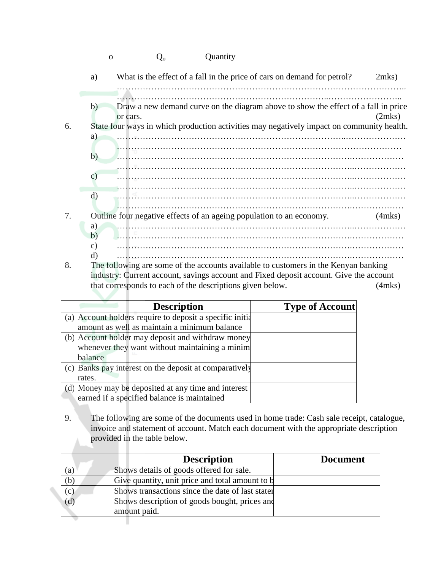| 0 | $Q_{o}$ | Quantity |
|---|---------|----------|
|   |         |          |

|    | What is the effect of a fall in the price of cars on demand for petrol?<br>a)                                                                                                                                                                  | $2$ mks $)$  |
|----|------------------------------------------------------------------------------------------------------------------------------------------------------------------------------------------------------------------------------------------------|--------------|
|    |                                                                                                                                                                                                                                                |              |
|    | Draw a new demand curve on the diagram above to show the effect of a fall in price<br>b)<br>or cars.                                                                                                                                           | (2mks)       |
| 6. | State four ways in which production activities may negatively impact on community health.                                                                                                                                                      |              |
|    | a)                                                                                                                                                                                                                                             |              |
|    | b)                                                                                                                                                                                                                                             |              |
|    | $\mathcal{C}$ )                                                                                                                                                                                                                                |              |
|    | d)                                                                                                                                                                                                                                             |              |
| 7. | Outline four negative effects of an ageing population to an economy.<br>a)                                                                                                                                                                     | $(4$ mks $)$ |
|    | b)                                                                                                                                                                                                                                             |              |
|    | C)                                                                                                                                                                                                                                             |              |
|    | $\mathcal{C}$ , and the contract of the contract of the contract of the contract of the contract of the contract of the contract of the contract of the contract of the contract of the contract of the contract of the contract o<br>$C_{11}$ |              |

8. The following are some of the accounts available to customers in the Kenyan banking industry: Current account, savings account and Fixed deposit account. Give the account that corresponds to each of the descriptions given below. (4mks)

|     | <b>Description</b>                                     | <b>Type of Account</b> |
|-----|--------------------------------------------------------|------------------------|
| (a) | Account holders require to deposit a specific initial  |                        |
|     | amount as well as maintain a minimum balance           |                        |
| (b) | Account holder may deposit and withdraw money          |                        |
|     | whenever they want without maintaining a minim         |                        |
|     | balance                                                |                        |
|     | (c) Banks pay interest on the deposit at comparatively |                        |
|     | rates.                                                 |                        |
|     | (d) Money may be deposited at any time and interest    |                        |
|     | earned if a specified balance is maintained            |                        |

9. The following are some of the documents used in home trade: Cash sale receipt, catalogue, invoice and statement of account. Match each document with the appropriate description provided in the table below.

|     | <b>Description</b>                               | <b>Document</b> |
|-----|--------------------------------------------------|-----------------|
| (a) | Shows details of goods offered for sale.         |                 |
| (b) | Give quantity, unit price and total amount to b  |                 |
| (c) | Shows transactions since the date of last stater |                 |
| (d) | Shows description of goods bought, prices and    |                 |
|     | amount paid.                                     |                 |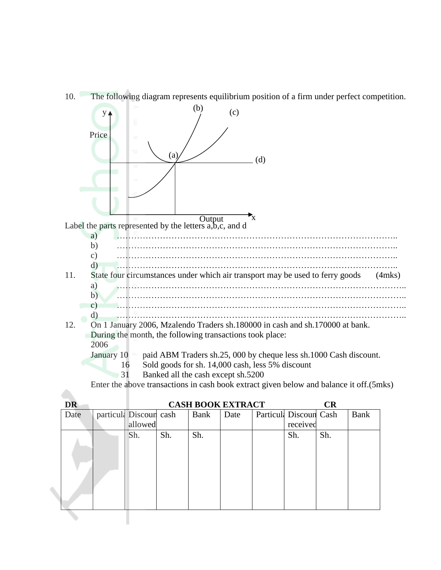



| <b>DR</b> |                        |     |      | <b>CASH BOOK EXTRACT</b> |                        | CR  |      |
|-----------|------------------------|-----|------|--------------------------|------------------------|-----|------|
| Date      | particula Discoun cash |     | Bank | Date                     | Particul: Discoun Cash |     | Bank |
|           | allowed                |     |      |                          | received               |     |      |
|           | Sh.                    | Sh. | Sh.  |                          | Sh.                    | Sh. |      |
|           |                        |     |      |                          |                        |     |      |
|           |                        |     |      |                          |                        |     |      |
|           |                        |     |      |                          |                        |     |      |
|           |                        |     |      |                          |                        |     |      |
|           |                        |     |      |                          |                        |     |      |
|           |                        |     |      |                          |                        |     |      |
|           |                        |     |      |                          |                        |     |      |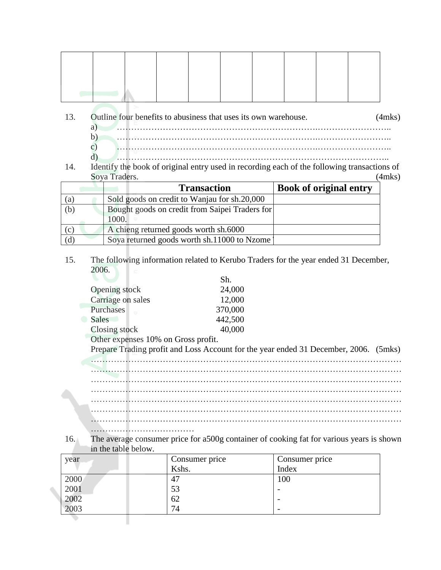- 13. Outline four benefits to abusiness that uses its own warehouse. (4mks) a) …………………………………………………………….…………………….. b) …………………………………………………………….…………………….. c) …………………………………………………………….……………………..
- d) ………………………………………………………………………………….. 14. Identify the book of original entry used in recording each of the following transactions of Soya Traders. (4mks)

|     | <b>Transaction</b>                             | <b>Book of original entry</b> |
|-----|------------------------------------------------|-------------------------------|
| (a) | Sold goods on credit to Wanjau for sh.20,000   |                               |
| (b) | Bought goods on credit from Saipei Traders for |                               |
|     | 1000.                                          |                               |
| (c) | A chieng returned goods worth sh.6000          |                               |
| (d) | Soya returned goods worth sh.11000 to Nzome    |                               |

### 15. The following information related to Kerubo Traders for the year ended 31 December, 2006.

|                   | Sh.     |
|-------------------|---------|
| Opening stock     | 24,000  |
| Carriage on sales | 12,000  |
| Purchases         | 370,000 |
| Sales             | 442,500 |
| Closing stock     | 40,000  |

Other expenses 10% on Gross profit.

………………………………

Prepare Trading profit and Loss Account for the year ended 31 December, 2006. (5mks)

……………………………………………………………………………………………… ……………………………………………………………………………………………… ……………………………………………………………………………………………… ……………………………………………………………………………………………… ……………………………………………………………………………………………… ………………………………………………………………………………………………

16. The average consumer price for a500g container of cooking fat for various years is shown in the table below.

| year         | Consumer price | Consumer price           |
|--------------|----------------|--------------------------|
|              | Kshs.          | Index                    |
| 2000         | 47             | 100                      |
|              | 53             |                          |
| 2001<br>2002 | 62             |                          |
| 2003         | 74             | $\overline{\phantom{0}}$ |
|              |                |                          |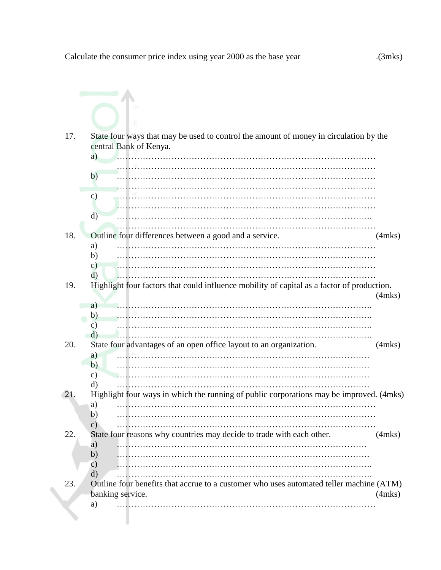| 17. | State four ways that may be used to control the amount of money in circulation by the<br>central Bank of Kenya.<br>a)     |              |
|-----|---------------------------------------------------------------------------------------------------------------------------|--------------|
|     | b)                                                                                                                        |              |
|     | $\mathbf{c})$<br>$\rm d)$                                                                                                 |              |
| 18. | Outline four differences between a good and a service.                                                                    | $(4$ mks $)$ |
|     | a)<br>b)<br>$\mathbf{c})$<br>d)                                                                                           |              |
| 19. | Highlight four factors that could influence mobility of capital as a factor of production.<br>a)<br>b)<br>C)              | $(4$ mks $)$ |
| 20. | $\rm d)$<br>State four advantages of an open office layout to an organization.<br>a)<br>b)<br>$\mathcal{C}$ )<br>d)       | $(4$ mks $)$ |
| 21. | Highlight four ways in which the running of public corporations may be improved. (4mks)<br>a)<br>b)<br>$\mathbf{c})$<br>. |              |
| 22. | State four reasons why countries may decide to trade with each other.<br>a)<br>b)<br>$\mathbf{c})$<br>d)                  | $(4$ mks $)$ |
| 23. | Outline four benefits that accrue to a customer who uses automated teller machine (ATM)<br>banking service.<br>a)         | $(4$ mks $)$ |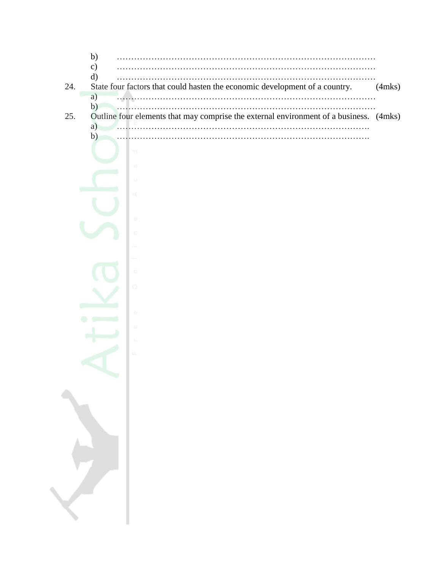|     | $\mathcal{C}$                                                                               |  |
|-----|---------------------------------------------------------------------------------------------|--|
|     | d)                                                                                          |  |
| 24. | State four factors that could hasten the economic development of a country.<br>$(4$ mks $)$ |  |
|     | a)                                                                                          |  |
|     | b)                                                                                          |  |
| 25. | Outline four elements that may comprise the external environment of a business. (4mks)      |  |
|     | a)                                                                                          |  |

b) …………………………………………………………………………….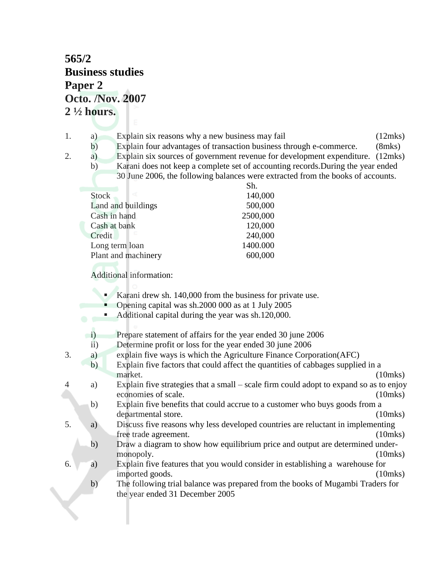# **565/2 Business studies Paper 2 Octo. /Nov. 2007 2 ½ hours.**

- 1. a) Explain six reasons why a new business may fail (12mks)
	- b) Explain four advantages of transaction business through e-commerce. (8mks)
- 
- 2. a) Explain six sources of government revenue for development expenditure. (12mks) b) Karani does not keep a complete set of accounting records.During the year ended 30 June 2006, the following balances were extracted from the books of accounts.

|                     | Sh.      |
|---------------------|----------|
| <b>Stock</b>        | 140,000  |
| Land and buildings  | 500,000  |
| Cash in hand        | 2500,000 |
| Cash at bank        | 120,000  |
| œ<br>Credit         | 240,000  |
| Long term loan      | 1400.000 |
| Plant and machinery | 600,000  |

Additional information:

- Karani drew sh. 140,000 from the business for private use.
- Opening capital was sh.2000 000 as at 1 July 2005
- Additional capital during the year was sh.120,000.

i) Prepare statement of affairs for the year ended 30 june 2006

- ii) Determine profit or loss for the year ended 30 june 2006
- 3. a) explain five ways is which the Agriculture Finance Corporation(AFC)
- b) Explain five factors that could affect the quantities of cabbages supplied in a market. (10mks)
- 4 a) Explain five strategies that a small scale firm could adopt to expand so as to enjoy economies of scale. (10mks)
	- b) Explain five benefits that could accrue to a customer who buys goods from a departmental store. (10mks)
- 5. a) Discuss five reasons why less developed countries are reluctant in implementing free trade agreement. (10mks)
	- b) Draw a diagram to show how equilibrium price and output are determined undermonopoly. (10mks)
- 6. a) Explain five features that you would consider in establishing a warehouse for imported goods. (10mks)
	- b) The following trial balance was prepared from the books of Mugambi Traders for the year ended 31 December 2005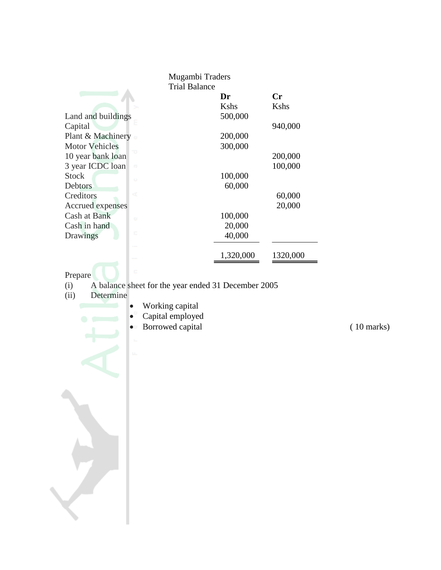| Mugambi Traders          |           |           |
|--------------------------|-----------|-----------|
| <b>Trial Balance</b>     |           |           |
|                          | Dr        | <b>Cr</b> |
|                          | Kshs      | Kshs      |
| Land and buildings       | 500,000   |           |
| Capital                  |           | 940,000   |
| Plant & Machinery        | 200,000   |           |
| <b>Motor Vehicles</b>    | 300,000   |           |
| 10 year bank loan        |           | 200,000   |
| 3 year ICDC loan<br>m    |           | 100,000   |
| <b>Stock</b><br>$\circ$  | 100,000   |           |
| Debtors                  | 60,000    |           |
| ď<br>Creditors           |           | 60,000    |
| Accrued expenses         |           | 20,000    |
| Cash at Bank<br><b>O</b> | 100,000   |           |
| Cash in hand             | 20,000    |           |
| c<br>Drawings            | 40,000    |           |
|                          | 1,320,000 | 1320,000  |

- Prepare<br>(i) A<br>(ii) L (i) A balance sheet for the year ended 31 December 2005
- (ii) Determine
	- Working capital
	- Capital employed
	- Borrowed capital (10 marks)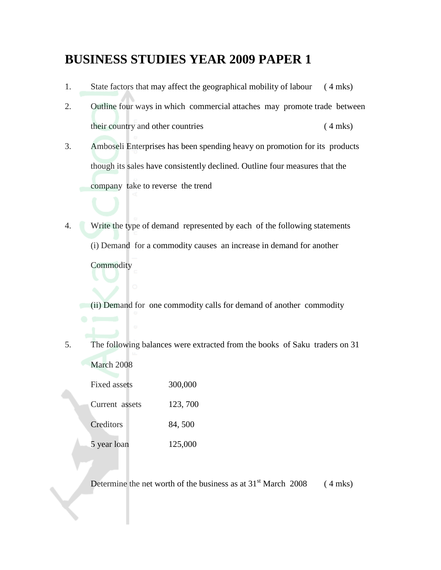# **BUSINESS STUDIES YEAR 2009 PAPER 1**

- 1. State factors that may affect the geographical mobility of labour ( 4 mks)
- 2. Outline four ways in which commercial attaches may promote trade between their country and other countries ( 4 mks)
- 3. Amboseli Enterprises has been spending heavy on promotion for its products though its sales have consistently declined. Outline four measures that the company take to reverse the trend
- 4. Write the type of demand represented by each of the following statements (i) Demand for a commodity causes an increase in demand for another **Commodity**

(ii) Demand for one commodity calls for demand of another commodity

5. The following balances were extracted from the books of Saku traders on 31 March 2008

| Fixed assets   | 300,000  |
|----------------|----------|
| Current assets | 123, 700 |
| Creditors      | 84,500   |
| 5 year loan    | 125,000  |

Determine the net worth of the business as at  $31<sup>st</sup>$  March 2008 (4 mks)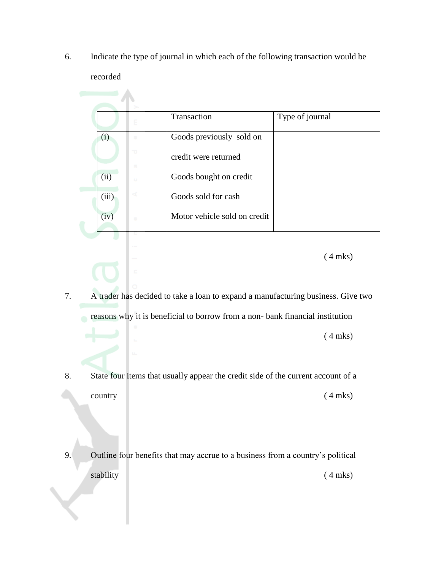6. Indicate the type of journal in which each of the following transaction would be recorded

|       | Ε                 | Transaction                  | Type of journal |
|-------|-------------------|------------------------------|-----------------|
| (i)   | $\alpha$          | Goods previously sold on     |                 |
|       | 73                | credit were returned         |                 |
| (ii)  | $\Box$<br>$\circ$ | Goods bought on credit       |                 |
| (iii) | ď                 | Goods sold for cash          |                 |
| (iv)  | $\alpha$          | Motor vehicle sold on credit |                 |

( 4 mks)

- 7. A trader has decided to take a loan to expand a manufacturing business. Give two reasons why it is beneficial to borrow from a non- bank financial institution ( 4 mks)
- 8. State four items that usually appear the credit side of the current account of a country (4 mks)
- 9. Outline four benefits that may accrue to a business from a country's political stability (4 mks)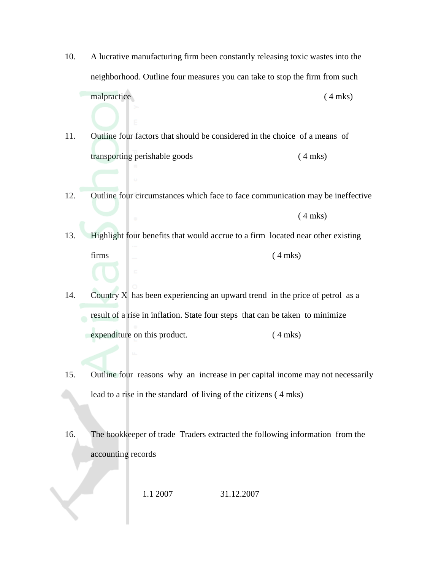10. A lucrative manufacturing firm been constantly releasing toxic wastes into the neighborhood. Outline four measures you can take to stop the firm from such malpractice ( 4 mks)

11. Outline four factors that should be considered in the choice of a means of transporting perishable goods ( 4 mks)

- 12. Outline four circumstances which face to face communication may be ineffective ( 4 mks)
- 13. Highlight four benefits that would accrue to a firm located near other existing  $firms$  (4 mks)
- 14. Country X has been experiencing an upward trend in the price of petrol as a result of a rise in inflation. State four steps that can be taken to minimize expenditure on this product. (4 mks)
- 15. Outline four reasons why an increase in per capital income may not necessarily lead to a rise in the standard of living of the citizens ( 4 mks)
- 16. The bookkeeper of trade Traders extracted the following information from the accounting records

1.1 2007 31.12.2007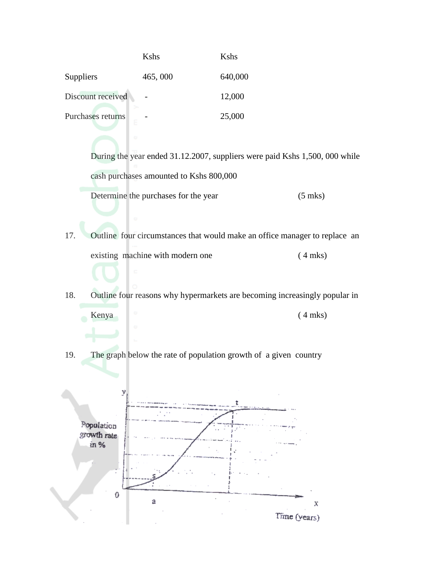|                        | Kshs    | Kshs    |
|------------------------|---------|---------|
| <b>Suppliers</b>       | 465,000 | 640,000 |
| Discount received      |         | 12,000  |
| Purchases returns<br>ε |         | 25,000  |
|                        |         |         |

During the year ended 31.12.2007, suppliers were paid Kshs 1,500, 000 while cash purchases amounted to Kshs 800,000

Determine the purchases for the year (5 mks)

17. Outline four circumstances that would make an office manager to replace an existing machine with modern one (4 mks)

18. Outline four reasons why hypermarkets are becoming increasingly popular in



19. The graph below the rate of population growth of a given country

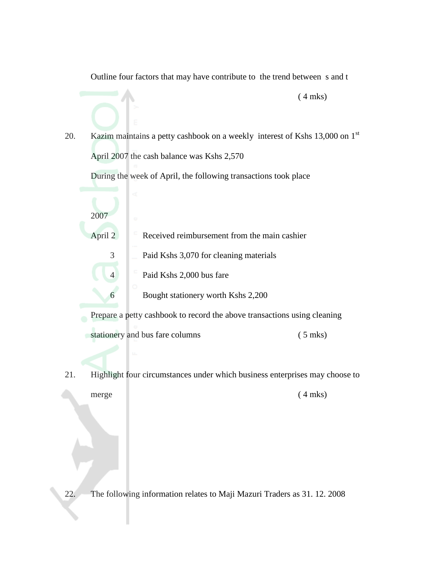Outline four factors that may have contribute to the trend between s and t

20. Kazim maintains a petty cashbook on a weekly interest of Kshs  $13,000$  on  $1<sup>st</sup>$ April 2007 the cash balance was Kshs 2,570

During the week of April, the following transactions took place

2007 April 2 Received reimbursement from the main cashier 3 Paid Kshs 3,070 for cleaning materials 4 Paid Kshs 2,000 bus fare 6 Bought stationery worth Kshs 2,200

Prepare a petty cashbook to record the above transactions using cleaning

stationery and bus fare columns (5 mks)

21. Highlight four circumstances under which business enterprises may choose to

merge (4 mks)

 $(4$  mks)

22. The following information relates to Maji Mazuri Traders as 31. 12. 2008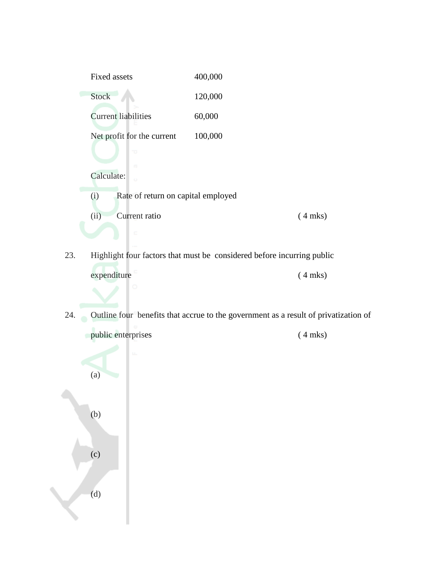

- 23. Highlight four factors that must be considered before incurring public expenditure (4 mks)
- 24. Outline four benefits that accrue to the government as a result of privatization of

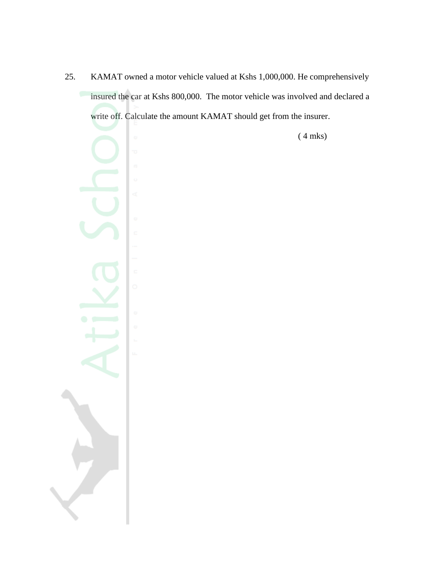25. KAMAT owned a motor vehicle valued at Kshs 1,000,000. He comprehensively insured the car at Kshs 800,000. The motor vehicle was involved and declared a write off. Calculate the amount KAMAT should get from the insurer.

( 4 mks)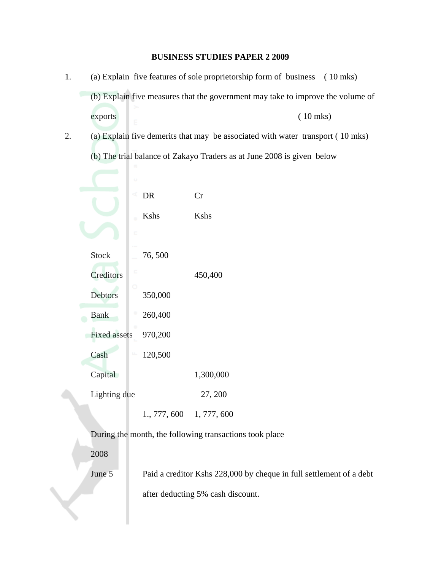### **BUSINESS STUDIES PAPER 2 2009**

- 1. (a) Explain five features of sole proprietorship form of business ( 10 mks) (b) Explain five measures that the government may take to improve the volume of exports ( 10 mks)
- 2. (a) Explain five demerits that may be associated with water transport ( 10 mks) (b) The trial balance of Zakayo Traders as at June 2008 is given below

|              | ٠                        |              |             |
|--------------|--------------------------|--------------|-------------|
|              |                          | DR           | Cr          |
|              | ò.                       | <b>K</b> shs | Kshs        |
|              | c                        |              |             |
| <b>Stock</b> |                          | 76,500       |             |
| Creditors    | c                        |              | 450,400     |
| Debtors      |                          | 350,000      |             |
| <b>Bank</b>  | ω                        | 260,400      |             |
|              | ω<br><b>Fixed assets</b> | 970,200      |             |
| Cash         | u.                       | 120,500      |             |
| Capital      |                          |              | 1,300,000   |
|              | Lighting due             |              | 27, 200     |
|              |                          | 1., 777, 600 | 1, 777, 600 |

During the month, the following transactions took place

2008

June 5 Paid a creditor Kshs 228,000 by cheque in full settlement of a debt

after deducting 5% cash discount.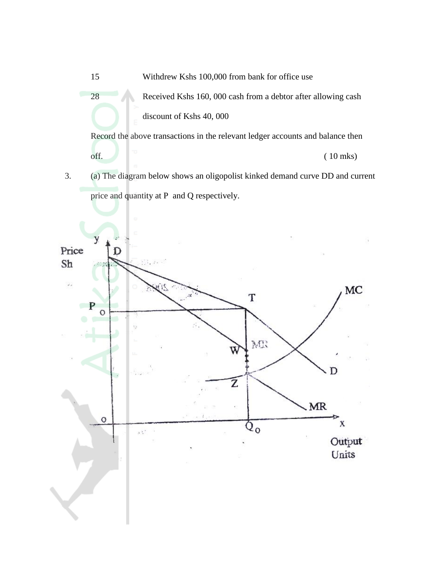15 Withdrew Kshs 100,000 from bank for office use 28 Received Kshs 160, 000 cash from a debtor after allowing cash discount of Kshs 40, 000 Record the above transactions in the relevant ledger accounts and balance then

3. (a) The diagram below shows an oligopolist kinked demand curve DD and current price and quantity at P and Q respectively.

 $\int$  (10 mks)

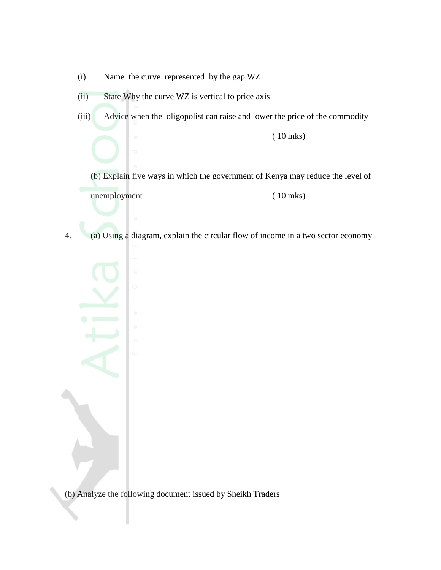- (i) Name the curve represented by the gap WZ
- (ii) State Why the curve WZ is vertical to price axis
- (iii) Advice when the oligopolist can raise and lower the price of the commodity
	- (b) Explain five ways in which the government of Kenya may reduce the level of unemployment (10 mks)

( 10 mks)

4. (a) Using a diagram, explain the circular flow of income in a two sector economy

(b) Analyze the following document issued by Sheikh Traders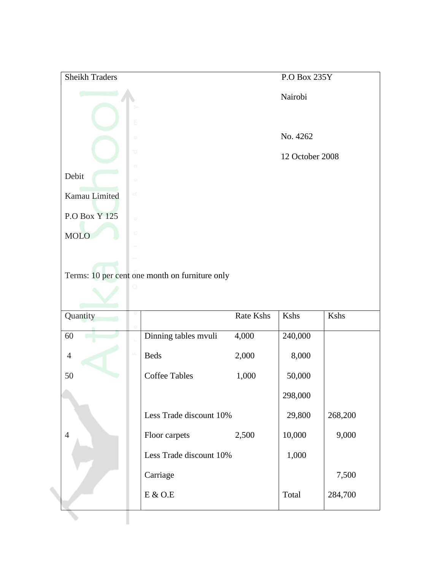| Sheikh Traders  |         |                                                |           | P.O Box 235Y    |         |
|-----------------|---------|------------------------------------------------|-----------|-----------------|---------|
|                 |         |                                                |           | Nairobi         |         |
|                 |         |                                                |           |                 |         |
|                 |         |                                                |           |                 |         |
|                 | o       |                                                |           | No. 4262        |         |
|                 | a       |                                                |           | 12 October 2008 |         |
|                 | $\Box$  |                                                |           |                 |         |
| Debit           | $\circ$ |                                                |           |                 |         |
| Kamau Limited   | ₫       |                                                |           |                 |         |
| P.O Box Y 125   | $\cup$  |                                                |           |                 |         |
|                 | c       |                                                |           |                 |         |
| <b>MOLO</b>     |         |                                                |           |                 |         |
|                 |         |                                                |           |                 |         |
|                 |         | Terms: 10 per cent one month on furniture only |           |                 |         |
|                 |         |                                                |           |                 |         |
|                 |         |                                                |           |                 |         |
| Quantity        |         |                                                | Rate Kshs | Kshs            | Kshs    |
|                 |         |                                                |           |                 |         |
| $\overline{60}$ |         | Dinning tables mvuli                           | 4,000     | 240,000         |         |
| $\overline{4}$  | щ       | <b>Beds</b>                                    |           |                 |         |
|                 |         |                                                | 2,000     | 8,000           |         |
| 50              |         | <b>Coffee Tables</b>                           | 1,000     | 50,000          |         |
|                 |         |                                                |           |                 |         |
|                 |         |                                                |           | 298,000         |         |
|                 |         | Less Trade discount 10%                        |           | 29,800          | 268,200 |
| $\overline{4}$  |         | Floor carpets                                  | 2,500     | 10,000          | 9,000   |
|                 |         | Less Trade discount 10%                        |           | 1,000           |         |
|                 |         | Carriage                                       |           |                 | 7,500   |
|                 |         | $\mbox{E}$ & O.E                               |           | Total           | 284,700 |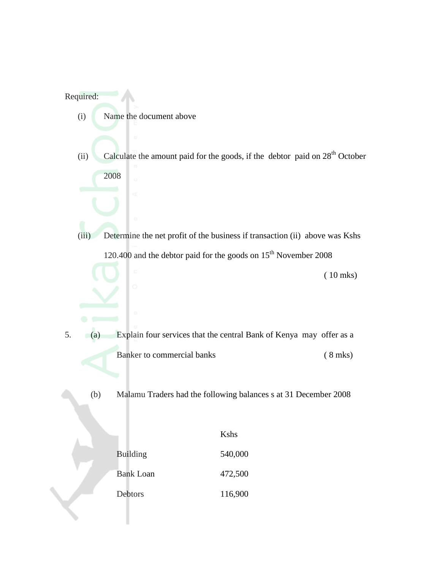# Required:

- (i) Name the document above
- (ii) Calculate the amount paid for the goods, if the debtor paid on  $28<sup>th</sup>$  October 2008

(iii) Determine the net profit of the business if transaction (ii) above was Kshs 120.400 and the debtor paid for the goods on  $15<sup>th</sup>$  November 2008

( 10 mks)

5. (a) Explain four services that the central Bank of Kenya may offer as a Banker to commercial banks (8 mks)

(b) Malamu Traders had the following balances s at 31 December 2008

|                  | Kshs    |
|------------------|---------|
| <b>Building</b>  | 540,000 |
| <b>Bank Loan</b> | 472,500 |
| Debtors          | 116,900 |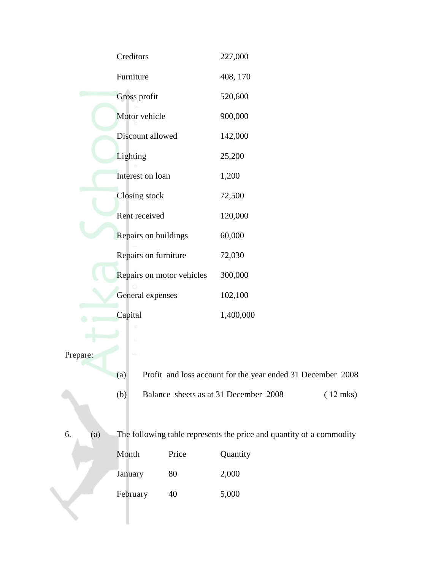|          |     | Creditors                 |       | 227,000                                                              |            |
|----------|-----|---------------------------|-------|----------------------------------------------------------------------|------------|
|          |     | Furniture                 |       | 408, 170                                                             |            |
|          |     | Gross profit              |       | 520,600                                                              |            |
|          |     | Motor vehicle             |       | 900,000                                                              |            |
|          |     | Discount allowed          |       | 142,000                                                              |            |
|          |     | Lighting                  |       | 25,200                                                               |            |
|          |     | Interest on loan          |       | 1,200                                                                |            |
|          |     | Closing stock             |       | 72,500                                                               |            |
|          |     | Rent received             |       | 120,000                                                              |            |
|          |     | Repairs on buildings      |       | 60,000                                                               |            |
|          |     | Repairs on furniture      |       | 72,030                                                               |            |
|          |     | Repairs on motor vehicles |       | 300,000                                                              |            |
|          |     | General expenses          |       | 102,100                                                              |            |
|          |     | Capital                   |       | 1,400,000                                                            |            |
|          |     |                           |       |                                                                      |            |
| Prepare: |     | u.                        |       |                                                                      |            |
|          |     | (a)                       |       | Profit and loss account for the year ended 31 December 2008          |            |
|          |     | (b)                       |       | Balance sheets as at 31 December 2008                                | $(12$ mks) |
| 6.       | (a) |                           |       | The following table represents the price and quantity of a commodity |            |
|          |     | Month                     | Price | Quantity                                                             |            |
|          |     | January                   | 80    | 2,000                                                                |            |
|          |     | February                  | 40    | 5,000                                                                |            |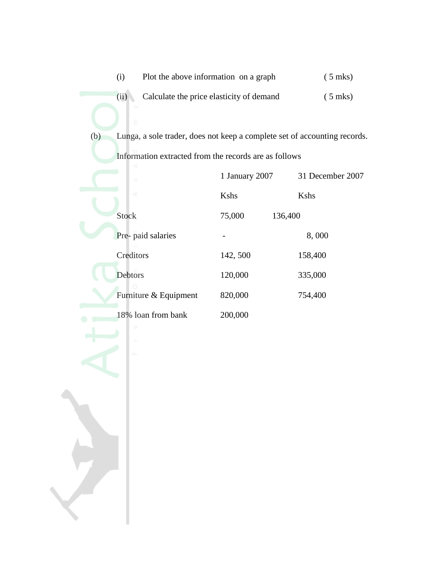|     | (i)                                                   | Plot the above information on a graph    |                                                                           |
|-----|-------------------------------------------------------|------------------------------------------|---------------------------------------------------------------------------|
|     | (ii)                                                  | Calculate the price elasticity of demand |                                                                           |
|     |                                                       |                                          |                                                                           |
| (b) |                                                       |                                          | Lunga, a sole trader, does not keep a complete set of accounting records. |
|     | Information extracted from the records are as follows |                                          |                                                                           |
|     | $\circ$                                               | 1 January 2007                           | 31 December 2007                                                          |
|     | ď                                                     | Kshs                                     | Kshs                                                                      |
|     | <b>Stock</b>                                          | 75,000                                   | 136,400                                                                   |
|     | Pre- paid salaries                                    |                                          | 8,000                                                                     |
|     | Creditors                                             | 142, 500                                 | 158,400                                                                   |
|     | Debtors                                               | 120,000                                  | 335,000                                                                   |
|     | Furniture & Equipment                                 | 820,000                                  | 754,400                                                                   |
|     | 18% loan from bank                                    | 200,000                                  |                                                                           |
|     | ω                                                     |                                          |                                                                           |
|     | u.                                                    |                                          |                                                                           |
|     |                                                       |                                          |                                                                           |
|     |                                                       |                                          |                                                                           |
|     |                                                       |                                          |                                                                           |
|     |                                                       |                                          |                                                                           |
|     |                                                       |                                          |                                                                           |
|     |                                                       |                                          |                                                                           |
|     |                                                       |                                          |                                                                           |
|     |                                                       |                                          |                                                                           |
|     |                                                       |                                          |                                                                           |